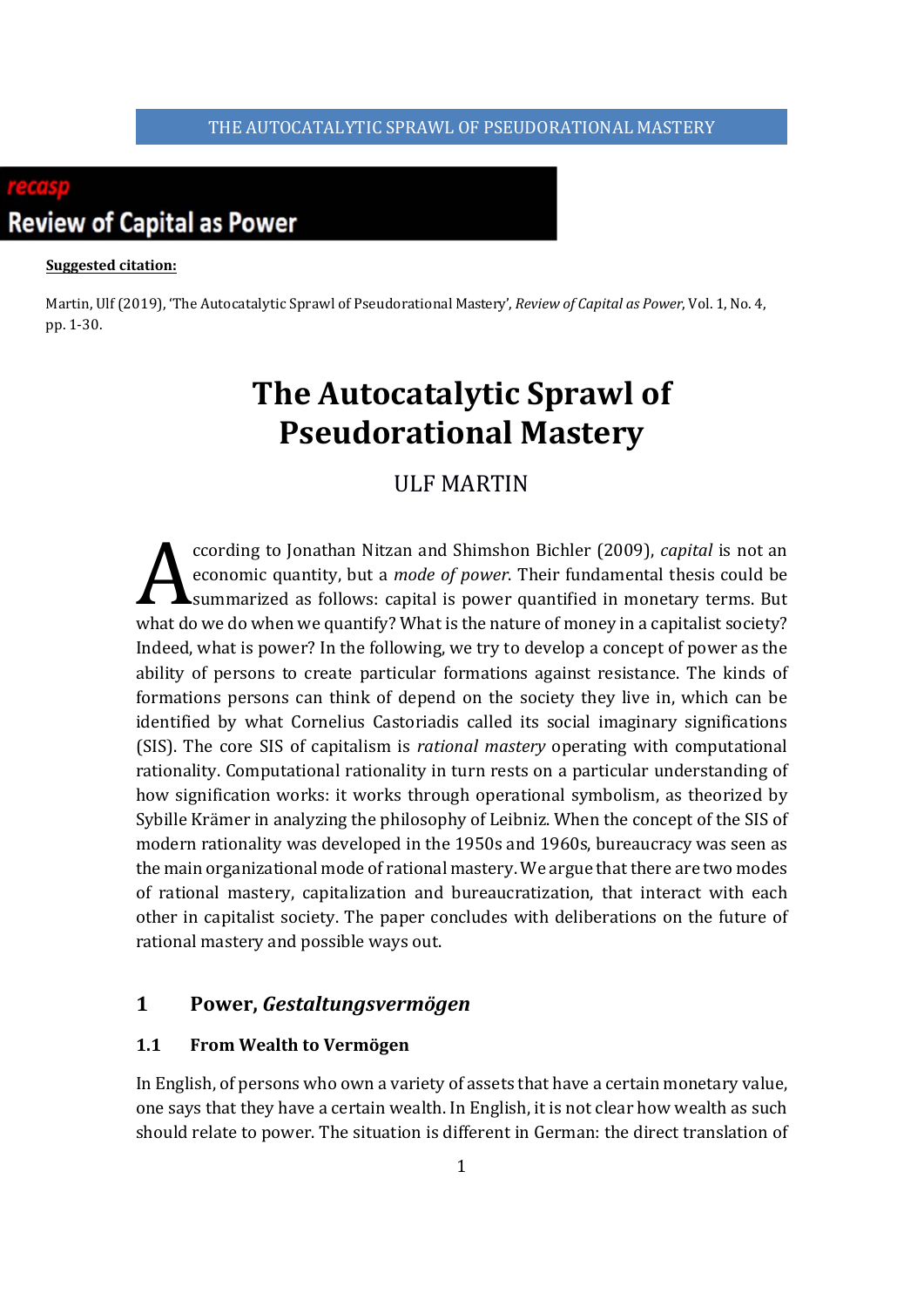

#### **Suggested citation:**

Martin, Ulf(2019), 'The Autocatalytic Sprawl of Pseudorational Mastery', *Review of Capital as Power*, Vol. 1, No. 4, pp. 1-30.

# **The Autocatalytic Sprawl of Pseudorational Mastery**

# ULF MARTIN

ccording to Jonathan Nitzan and Shimshon Bichler (2009), *capital* is not an economic quantity, but a *mode of power*. Their fundamental thesis could be summarized as follows: capital is power quantified in monetary terms. But what do we do when we quantify? What is the nature of money in a capitalist society? Indeed, what is power? In the following, we try to develop a concept of power as the ability of persons to create particular formations against resistance. The kinds of formations persons can think of depend on the society they live in, which can be identified by what Cornelius Castoriadis called its social imaginary significations (SIS). The core SIS of capitalism is *rational mastery* operating with computational rationality. Computational rationality in turn rests on a particular understanding of how signification works: it works through operational symbolism, as theorized by Sybille Krämer in analyzing the philosophy of Leibniz. When the concept of the SIS of modern rationality was developed in the 1950s and 1960s, bureaucracy was seen as the main organizational mode of rational mastery. We argue that there are two modes of rational mastery, capitalization and bureaucratization, that interact with each other in capitalist society. The paper concludes with deliberations on the future of rational mastery and possible ways out.  $\mathbf{A}^{\text{cc}}_{\text{sur}}$ 

# **1 Power,** *Gestaltungsvermögen*

## **1.1 From Wealth to Vermögen**

In English, of persons who own a variety of assets that have a certain monetary value, one says that they have a certain wealth. In English, it is not clear how wealth as such should relate to power. The situation is different in German: the direct translation of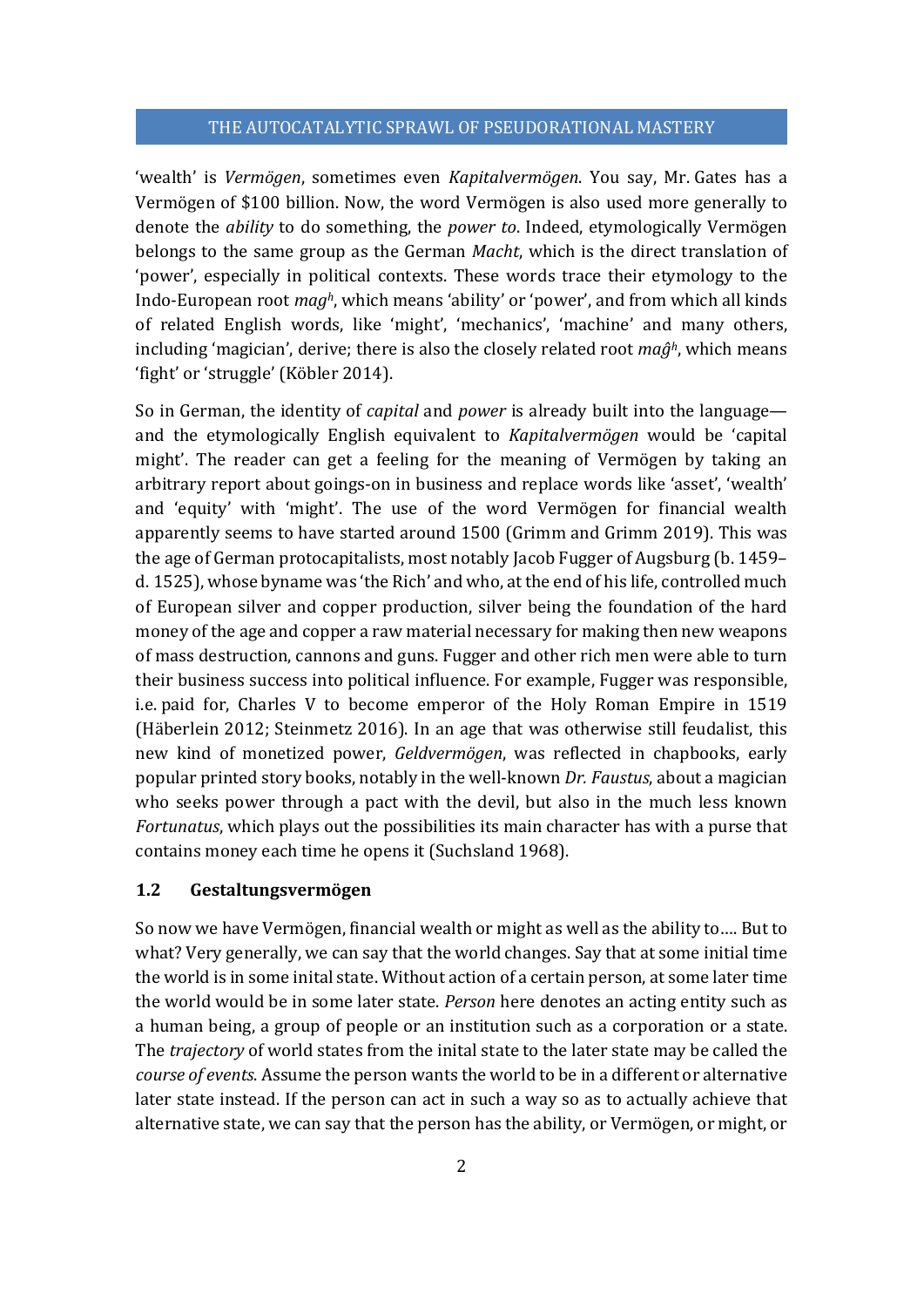'wealth' is *Vermögen*, sometimes even *Kapitalvermögen*. You say, Mr. Gates has a Vermögen of \$100 billion. Now, the word Vermögen is also used more generally to denote the *ability* to do something, the *power to*. Indeed, etymologically Vermögen belongs to the same group as the German *Macht*, which is the direct translation of 'power', especially in political contexts. These words trace their etymology to the Indo-European root *magh*, which means 'ability' or 'power', and from which all kinds of related English words, like 'might', 'mechanics', 'machine' and many others, including 'magician', derive; there is also the closely related root *maĝh*, which means 'fight' or 'struggle' (Köbler 2014).

So in German, the identity of *capital* and *power* is already built into the language and the etymologically English equivalent to *Kapitalvermögen* would be 'capital might'. The reader can get a feeling for the meaning of Vermögen by taking an arbitrary report about goings-on in business and replace words like 'asset', 'wealth' and 'equity' with 'might'. The use of the word Vermögen for financial wealth apparently seems to have started around 1500 (Grimm and Grimm 2019). This was the age of German protocapitalists, most notably Jacob Fugger of Augsburg (b. 1459– d. 1525), whose byname was 'the Rich' and who, at the end of his life, controlled much of European silver and copper production, silver being the foundation of the hard money of the age and copper a raw material necessary for making then new weapons of mass destruction, cannons and guns. Fugger and other rich men were able to turn their business success into political influence. For example, Fugger was responsible, i.e. paid for, Charles V to become emperor of the Holy Roman Empire in 1519 (Häberlein 2012; Steinmetz 2016). In an age that was otherwise still feudalist, this new kind of monetized power, *Geldvermögen*, was reflected in chapbooks, early popular printed story books, notably in the well-known *Dr. Faustus*, about a magician who seeks power through a pact with the devil, but also in the much less known *Fortunatus*, which plays out the possibilities its main character has with a purse that contains money each time he opens it (Suchsland 1968).

#### **1.2 Gestaltungsvermögen**

So now we have Vermögen, financial wealth or might as well as the ability to…. But to what? Very generally, we can say that the world changes. Say that at some initial time the world is in some inital state. Without action of a certain person, at some later time the world would be in some later state. *Person* here denotes an acting entity such as a human being, a group of people or an institution such as a corporation or a state. The *trajectory* of world states from the inital state to the later state may be called the *course of events*. Assume the person wants the world to be in a different or alternative later state instead. If the person can act in such a way so as to actually achieve that alternative state, we can say that the person has the ability, or Vermögen, or might, or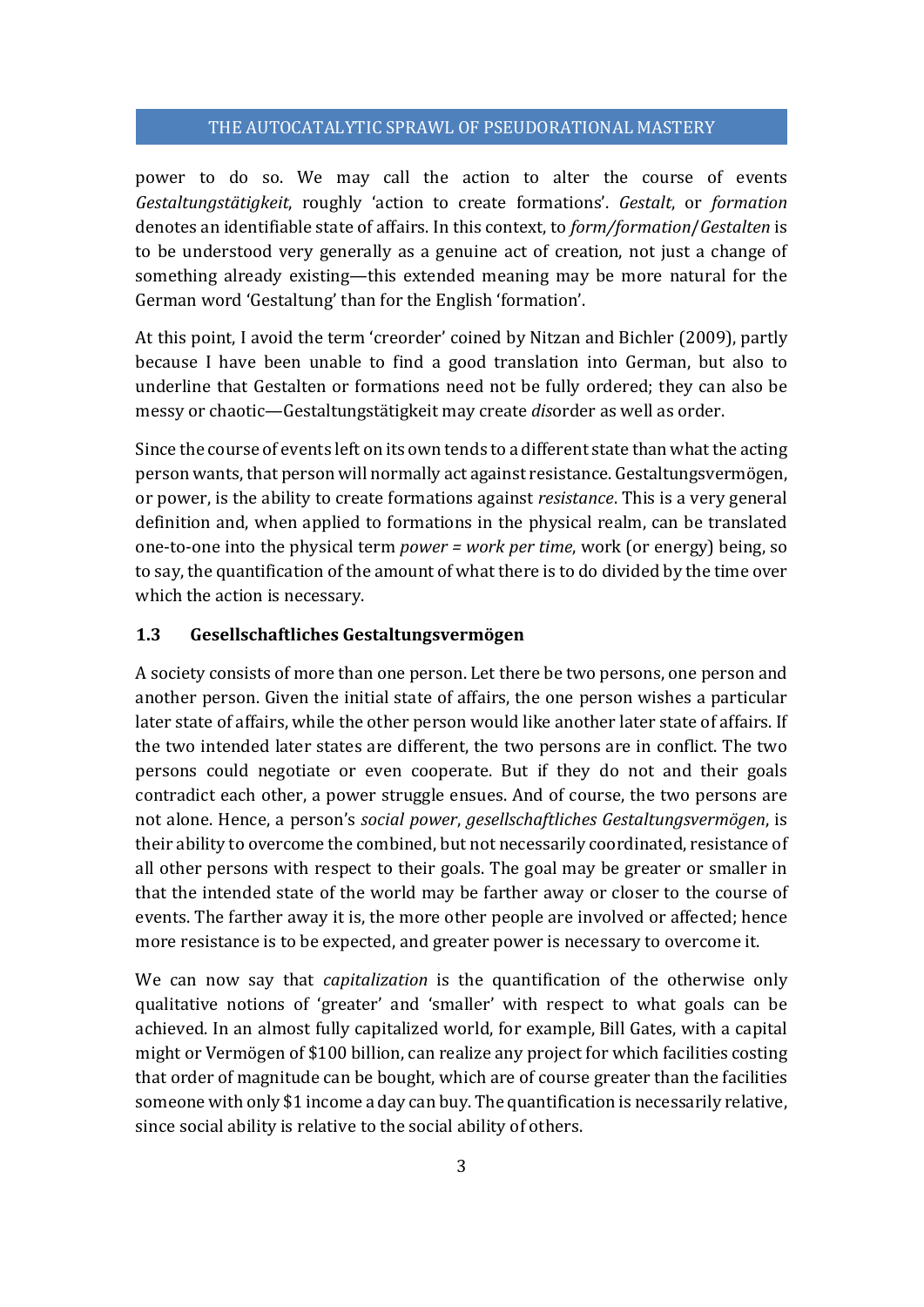power to do so. We may call the action to alter the course of events *Gestaltungstätigkeit*, roughly 'action to create formations'. *Gestalt*, or *formation* denotes an identifiable state of affairs. In this context, to *form/formation*/*Gestalten* is to be understood very generally as a genuine act of creation, not just a change of something already existing—this extended meaning may be more natural for the German word 'Gestaltung' than for the English 'formation'.

At this point, I avoid the term 'creorder' coined by Nitzan and Bichler (2009), partly because I have been unable to find a good translation into German, but also to underline that Gestalten or formations need not be fully ordered; they can also be messy or chaotic—Gestaltungstätigkeit may create *dis*order as well as order.

Since the course of events left on its own tends to a different state than what the acting person wants, that person will normally act against resistance. Gestaltungsvermögen, or power, is the ability to create formations against *resistance*. This is a very general definition and, when applied to formations in the physical realm, can be translated one-to-one into the physical term *power = work per time*, work (or energy) being, so to say, the quantification of the amount of what there is to do divided by the time over which the action is necessary.

# **1.3 Gesellschaftliches Gestaltungsvermögen**

A society consists of more than one person. Let there be two persons, one person and another person. Given the initial state of affairs, the one person wishes a particular later state of affairs, while the other person would like another later state of affairs. If the two intended later states are different, the two persons are in conflict. The two persons could negotiate or even cooperate. But if they do not and their goals contradict each other, a power struggle ensues. And of course, the two persons are not alone. Hence, a person's *social power*, *gesellschaftliches Gestaltungsvermögen*, is their ability to overcome the combined, but not necessarily coordinated, resistance of all other persons with respect to their goals. The goal may be greater or smaller in that the intended state of the world may be farther away or closer to the course of events. The farther away it is, the more other people are involved or affected; hence more resistance is to be expected, and greater power is necessary to overcome it.

We can now say that *capitalization* is the quantification of the otherwise only qualitative notions of 'greater' and 'smaller' with respect to what goals can be achieved. In an almost fully capitalized world, for example, Bill Gates, with a capital might or Vermögen of \$100 billion, can realize any project for which facilities costing that order of magnitude can be bought, which are of course greater than the facilities someone with only \$1 income a day can buy. The quantification is necessarily relative, since social ability is relative to the social ability of others.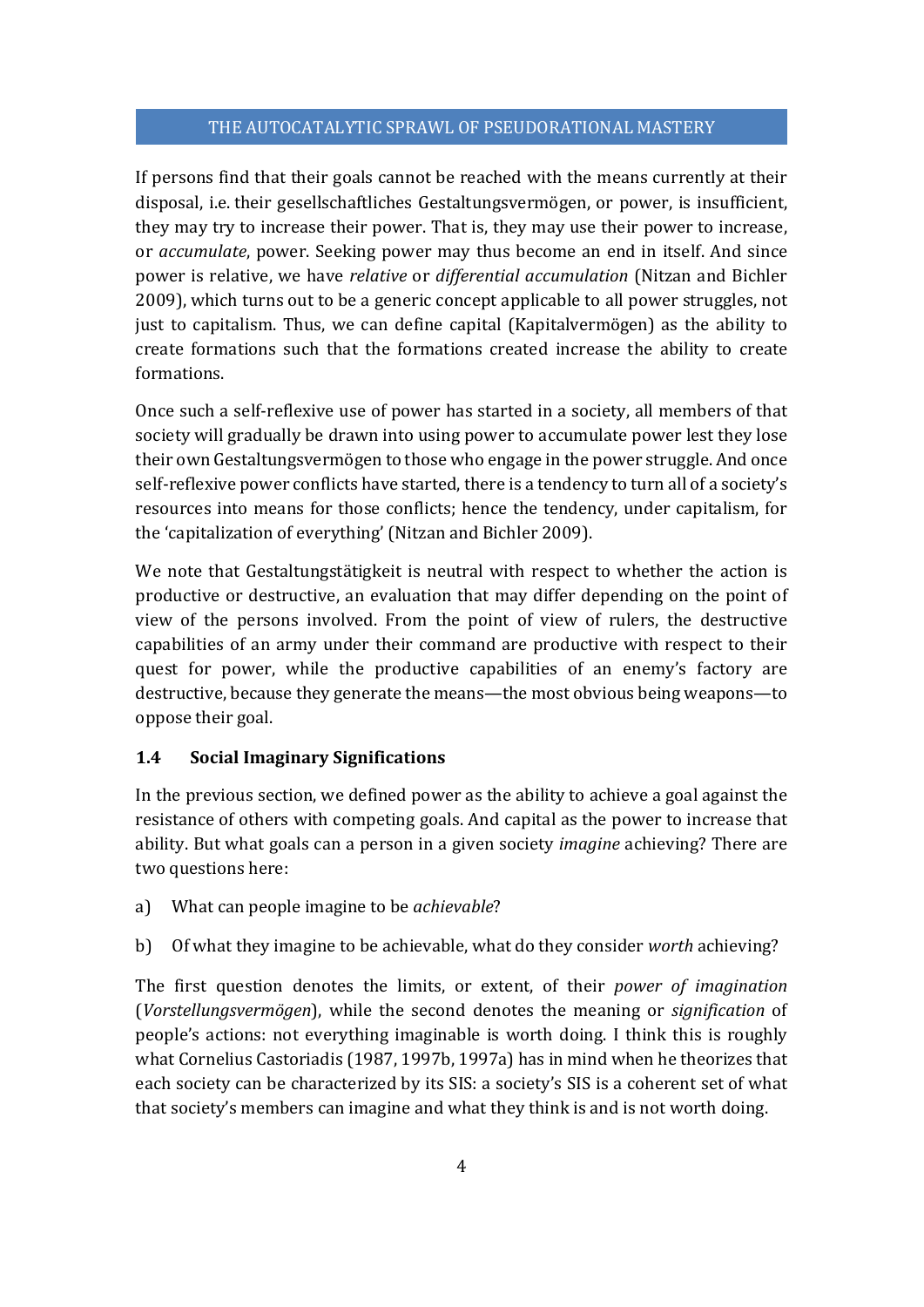If persons find that their goals cannot be reached with the means currently at their disposal, i.e. their gesellschaftliches Gestaltungsvermögen, or power, is insufficient, they may try to increase their power. That is, they may use their power to increase, or *accumulate*, power. Seeking power may thus become an end in itself. And since power is relative, we have *relative* or *differential accumulation* (Nitzan and Bichler 2009), which turns out to be a generic concept applicable to all power struggles, not just to capitalism. Thus, we can define capital (Kapitalvermögen) as the ability to create formations such that the formations created increase the ability to create formations.

Once such a self-reflexive use of power has started in a society, all members of that society will gradually be drawn into using power to accumulate power lest they lose their own Gestaltungsvermögen to those who engage in the power struggle. And once self-reflexive power conflicts have started, there is a tendency to turn all of a society's resources into means for those conflicts; hence the tendency, under capitalism, for the 'capitalization of everything' (Nitzan and Bichler 2009).

We note that Gestaltungstätigkeit is neutral with respect to whether the action is productive or destructive, an evaluation that may differ depending on the point of view of the persons involved. From the point of view of rulers, the destructive capabilities of an army under their command are productive with respect to their quest for power, while the productive capabilities of an enemy's factory are destructive, because they generate the means—the most obvious being weapons—to oppose their goal.

#### **1.4 Social Imaginary Significations**

In the previous section, we defined power as the ability to achieve a goal against the resistance of others with competing goals. And capital as the power to increase that ability. But what goals can a person in a given society *imagine* achieving? There are two questions here:

- a) What can people imagine to be *achievable*?
- b) Of what they imagine to be achievable, what do they consider *worth* achieving?

The first question denotes the limits, or extent, of their *power of imagination* (*Vorstellungsvermögen*), while the second denotes the meaning or *signification* of people's actions: not everything imaginable is worth doing. I think this is roughly what Cornelius Castoriadis (1987, 1997b, 1997a) has in mind when he theorizes that each society can be characterized by its SIS: a society's SIS is a coherent set of what that society's members can imagine and what they think is and is not worth doing.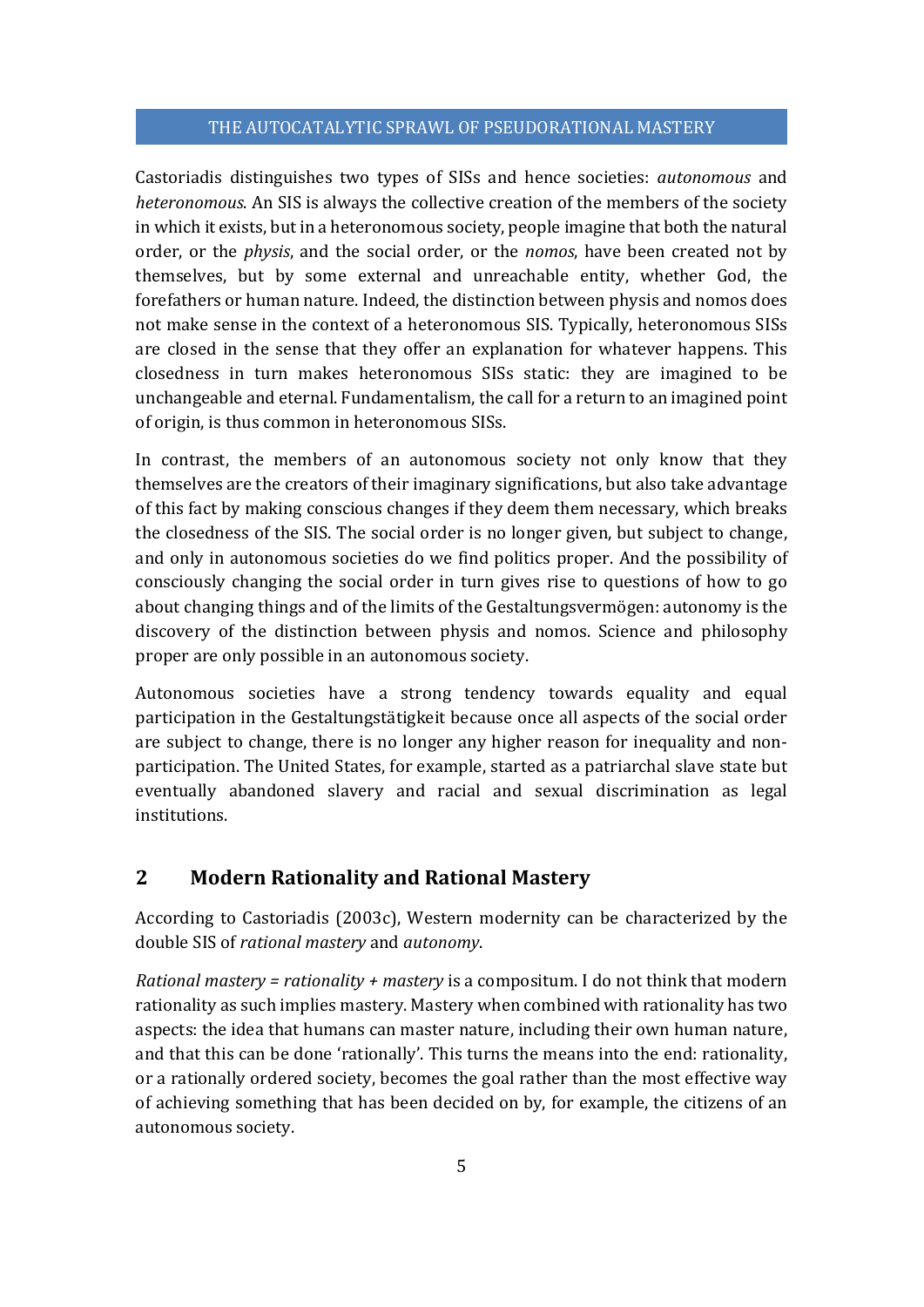Castoriadis distinguishes two types of SISs and hence societies: *autonomous* and *heteronomous*. An SIS is always the collective creation of the members of the society in which it exists, but in a heteronomous society, people imagine that both the natural order, or the *physis*, and the social order, or the *nomos*, have been created not by themselves, but by some external and unreachable entity, whether God, the forefathers or human nature. Indeed, the distinction between physis and nomos does not make sense in the context of a heteronomous SIS. Typically, heteronomous SISs are closed in the sense that they offer an explanation for whatever happens. This closedness in turn makes heteronomous SISs static: they are imagined to be unchangeable and eternal. Fundamentalism, the call for a return to an imagined point of origin, is thus common in heteronomous SISs.

In contrast, the members of an autonomous society not only know that they themselves are the creators of their imaginary significations, but also take advantage of this fact by making conscious changes if they deem them necessary, which breaks the closedness of the SIS. The social order is no longer given, but subject to change, and only in autonomous societies do we find politics proper. And the possibility of consciously changing the social order in turn gives rise to questions of how to go about changing things and of the limits of the Gestaltungsvermögen: autonomy is the discovery of the distinction between physis and nomos. Science and philosophy proper are only possible in an autonomous society.

Autonomous societies have a strong tendency towards equality and equal participation in the Gestaltungstätigkeit because once all aspects of the social order are subject to change, there is no longer any higher reason for inequality and nonparticipation. The United States, for example, started as a patriarchal slave state but eventually abandoned slavery and racial and sexual discrimination as legal institutions.

# **2 Modern Rationality and Rational Mastery**

According to Castoriadis (2003c), Western modernity can be characterized by the double SIS of *rational mastery* and *autonomy*.

*Rational mastery = rationality + mastery* is a compositum. I do not think that modern rationality as such implies mastery. Mastery when combined with rationality has two aspects: the idea that humans can master nature, including their own human nature, and that this can be done 'rationally'. This turns the means into the end: rationality, or a rationally ordered society, becomes the goal rather than the most effective way of achieving something that has been decided on by, for example, the citizens of an autonomous society.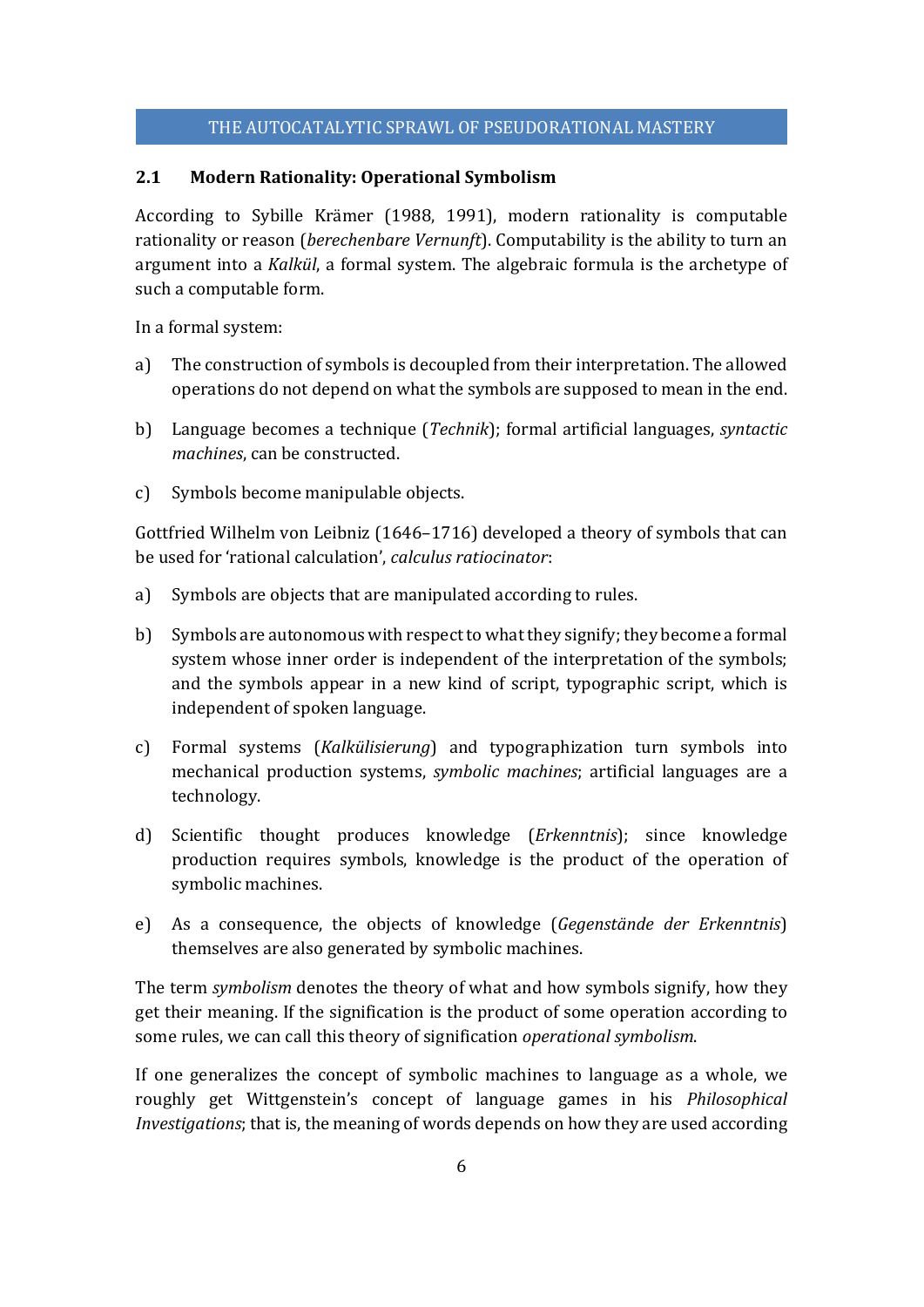## **2.1 Modern Rationality: Operational Symbolism**

According to Sybille Krämer (1988, 1991), modern rationality is computable rationality or reason (*berechenbare Vernunft*). Computability is the ability to turn an argument into a *Kalkül*, a formal system. The algebraic formula is the archetype of such a computable form.

In a formal system:

- a) The construction of symbols is decoupled from their interpretation. The allowed operations do not depend on what the symbols are supposed to mean in the end.
- b) Language becomes a technique (*Technik*); formal artificial languages, *syntactic machines*, can be constructed.
- c) Symbols become manipulable objects.

Gottfried Wilhelm von Leibniz (1646–1716) developed a theory of symbols that can be used for 'rational calculation', *calculus ratiocinator*:

- a) Symbols are objects that are manipulated according to rules.
- b) Symbols are autonomous with respect to what they signify; they become a formal system whose inner order is independent of the interpretation of the symbols; and the symbols appear in a new kind of script, typographic script, which is independent of spoken language.
- c) Formal systems (*Kalkülisierung*) and typographization turn symbols into mechanical production systems, *symbolic machines*; artificial languages are a technology.
- d) Scientific thought produces knowledge (*Erkenntnis*); since knowledge production requires symbols, knowledge is the product of the operation of symbolic machines.
- e) As a consequence, the objects of knowledge (*Gegenstände der Erkenntnis*) themselves are also generated by symbolic machines.

The term *symbolism* denotes the theory of what and how symbols signify, how they get their meaning. If the signification is the product of some operation according to some rules, we can call this theory of signification *operational symbolism*.

If one generalizes the concept of symbolic machines to language as a whole, we roughly get Wittgenstein's concept of language games in his *Philosophical Investigations*; that is, the meaning of words depends on how they are used according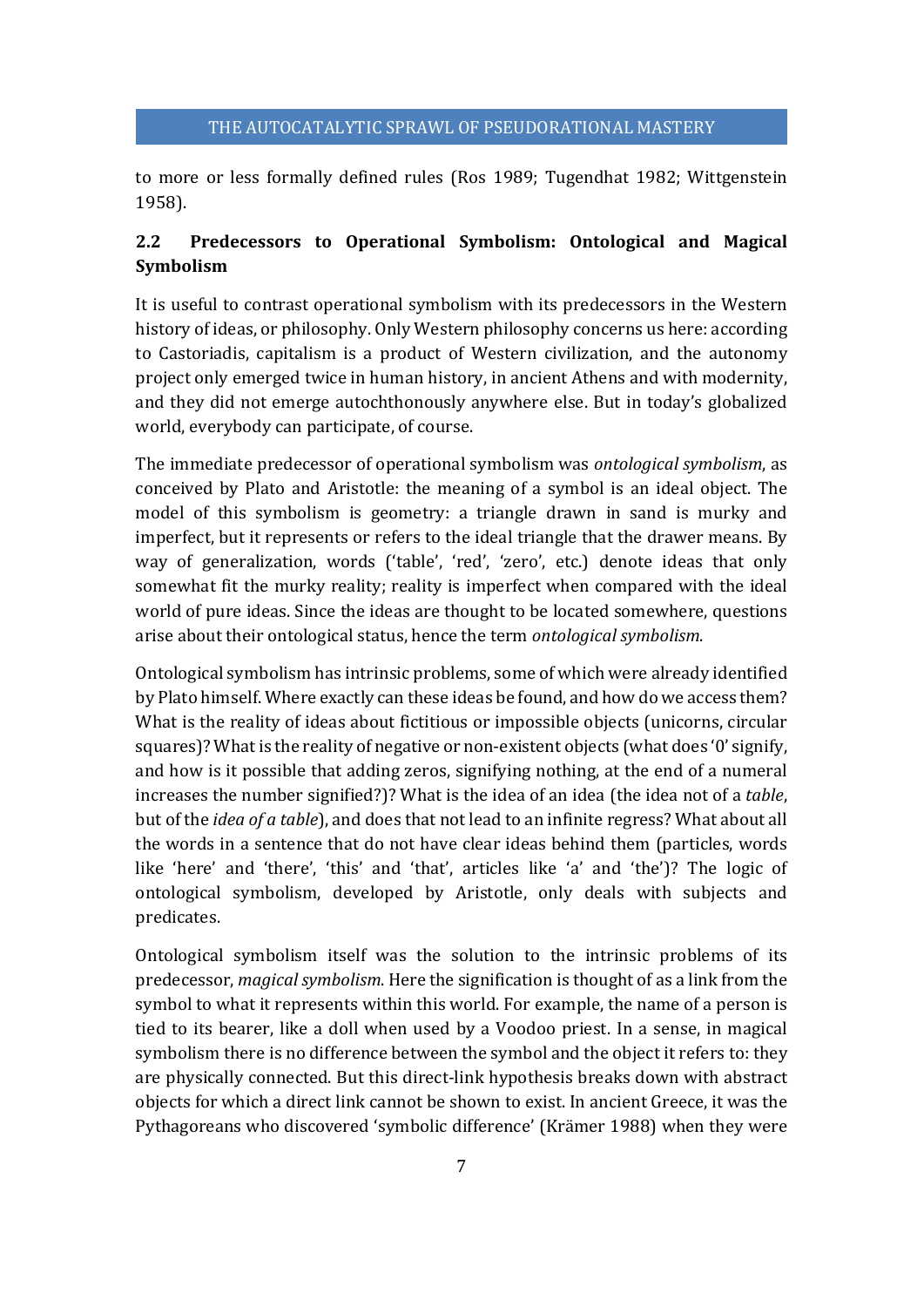to more or less formally defined rules (Ros 1989; Tugendhat 1982; Wittgenstein 1958).

# **2.2 Predecessors to Operational Symbolism: Ontological and Magical Symbolism**

It is useful to contrast operational symbolism with its predecessors in the Western history of ideas, or philosophy. Only Western philosophy concerns us here: according to Castoriadis, capitalism is a product of Western civilization, and the autonomy project only emerged twice in human history, in ancient Athens and with modernity, and they did not emerge autochthonously anywhere else. But in today's globalized world, everybody can participate, of course.

The immediate predecessor of operational symbolism was *ontological symbolism*, as conceived by Plato and Aristotle: the meaning of a symbol is an ideal object. The model of this symbolism is geometry: a triangle drawn in sand is murky and imperfect, but it represents or refers to the ideal triangle that the drawer means. By way of generalization, words ('table', 'red', 'zero', etc.) denote ideas that only somewhat fit the murky reality; reality is imperfect when compared with the ideal world of pure ideas. Since the ideas are thought to be located somewhere, questions arise about their ontological status, hence the term *ontological symbolism*.

Ontological symbolism has intrinsic problems, some of which were already identified by Plato himself. Where exactly can these ideas be found, and how do we access them? What is the reality of ideas about fictitious or impossible objects (unicorns, circular squares)? What is the reality of negative or non-existent objects (what does '0' signify, and how is it possible that adding zeros, signifying nothing, at the end of a numeral increases the number signified?)? What is the idea of an idea (the idea not of a *table*, but of the *idea of a table*), and does that not lead to an infinite regress? What about all the words in a sentence that do not have clear ideas behind them (particles, words like 'here' and 'there', 'this' and 'that', articles like 'a' and 'the')? The logic of ontological symbolism, developed by Aristotle, only deals with subjects and predicates.

Ontological symbolism itself was the solution to the intrinsic problems of its predecessor, *magical symbolism*. Here the signification is thought of as a link from the symbol to what it represents within this world. For example, the name of a person is tied to its bearer, like a doll when used by a Voodoo priest. In a sense, in magical symbolism there is no difference between the symbol and the object it refers to: they are physically connected. But this direct-link hypothesis breaks down with abstract objects for which a direct link cannot be shown to exist. In ancient Greece, it was the Pythagoreans who discovered 'symbolic difference' (Krämer 1988) when they were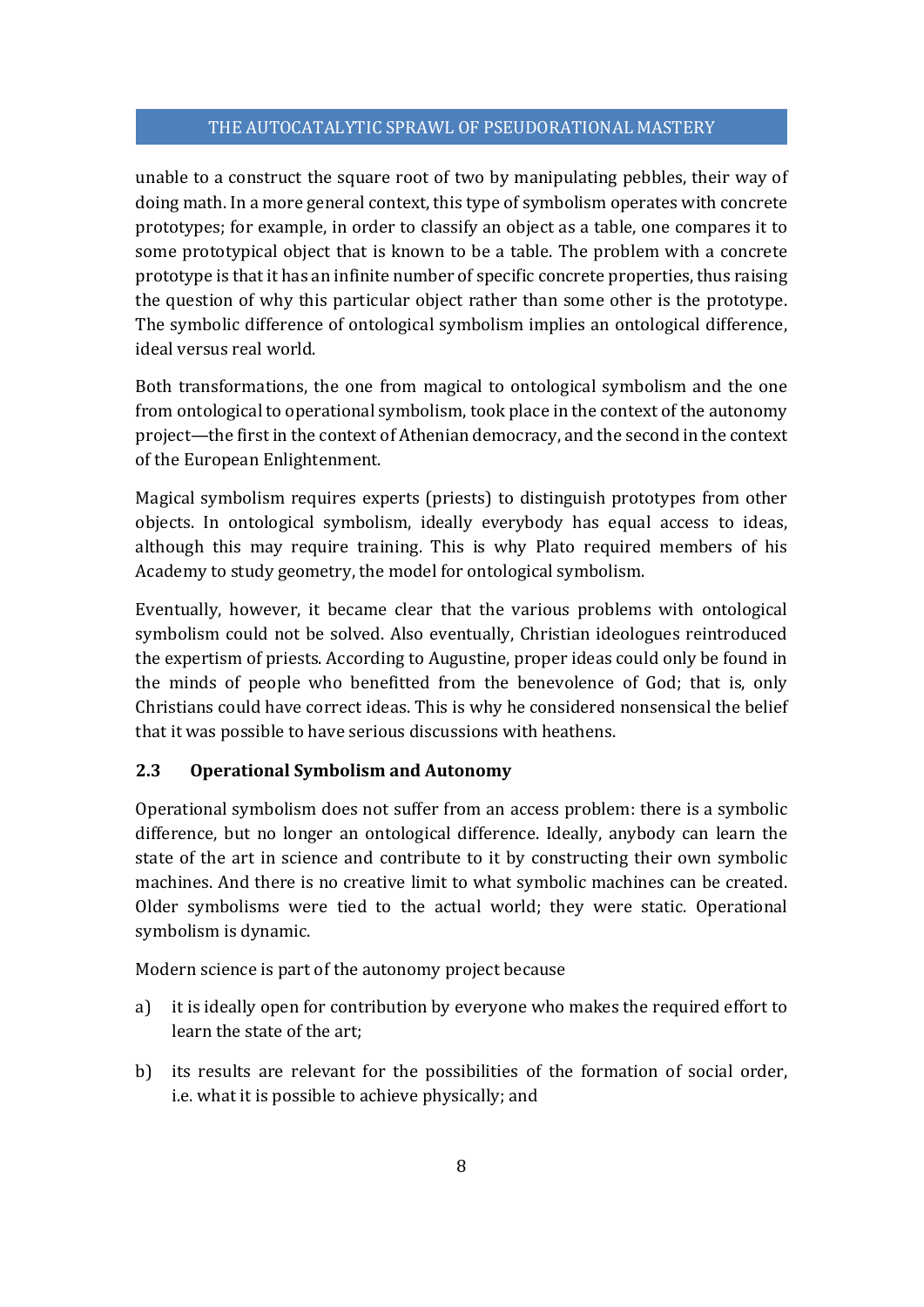unable to a construct the square root of two by manipulating pebbles, their way of doing math. In a more general context, this type of symbolism operates with concrete prototypes; for example, in order to classify an object as a table, one compares it to some prototypical object that is known to be a table. The problem with a concrete prototype is that it has an infinite number of specific concrete properties, thus raising the question of why this particular object rather than some other is the prototype. The symbolic difference of ontological symbolism implies an ontological difference, ideal versus real world.

Both transformations, the one from magical to ontological symbolism and the one from ontological to operational symbolism, took place in the context of the autonomy project—the first in the context of Athenian democracy, and the second in the context of the European Enlightenment.

Magical symbolism requires experts (priests) to distinguish prototypes from other objects. In ontological symbolism, ideally everybody has equal access to ideas, although this may require training. This is why Plato required members of his Academy to study geometry, the model for ontological symbolism.

Eventually, however, it became clear that the various problems with ontological symbolism could not be solved. Also eventually, Christian ideologues reintroduced the expertism of priests. According to Augustine, proper ideas could only be found in the minds of people who benefitted from the benevolence of God; that is, only Christians could have correct ideas. This is why he considered nonsensical the belief that it was possible to have serious discussions with heathens.

# **2.3 Operational Symbolism and Autonomy**

Operational symbolism does not suffer from an access problem: there is a symbolic difference, but no longer an ontological difference. Ideally, anybody can learn the state of the art in science and contribute to it by constructing their own symbolic machines. And there is no creative limit to what symbolic machines can be created. Older symbolisms were tied to the actual world; they were static. Operational symbolism is dynamic.

Modern science is part of the autonomy project because

- a) it is ideally open for contribution by everyone who makes the required effort to learn the state of the art;
- b) its results are relevant for the possibilities of the formation of social order, i.e. what it is possible to achieve physically; and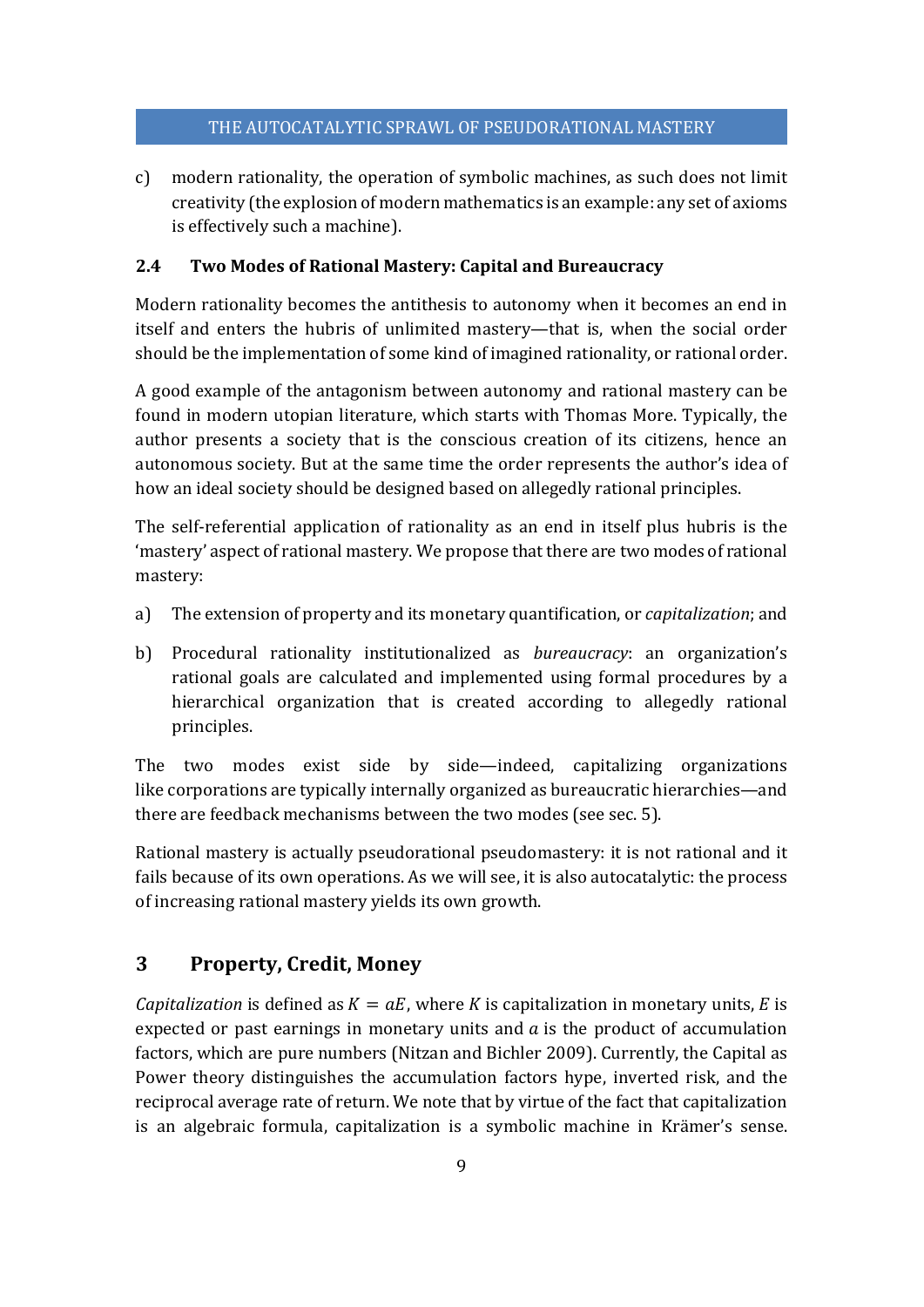c) modern rationality, the operation of symbolic machines, as such does not limit creativity (the explosion of modern mathematics is an example: any set of axioms is effectively such a machine).

# **2.4 Two Modes of Rational Mastery: Capital and Bureaucracy**

Modern rationality becomes the antithesis to autonomy when it becomes an end in itself and enters the hubris of unlimited mastery—that is, when the social order should be the implementation of some kind of imagined rationality, or rational order.

A good example of the antagonism between autonomy and rational mastery can be found in modern utopian literature, which starts with Thomas More. Typically, the author presents a society that is the conscious creation of its citizens, hence an autonomous society. But at the same time the order represents the author's idea of how an ideal society should be designed based on allegedly rational principles.

The self-referential application of rationality as an end in itself plus hubris is the 'mastery' aspect of rational mastery. We propose that there are two modes of rational mastery:

- a) The extension of property and its monetary quantification, or *capitalization*; and
- b) Procedural rationality institutionalized as *bureaucracy*: an organization's rational goals are calculated and implemented using formal procedures by a hierarchical organization that is created according to allegedly rational principles.

The two modes exist side by side—indeed, capitalizing organizations like corporations are typically internally organized as bureaucratic hierarchies—and there are feedback mechanisms between the two modes (see sec. 5).

Rational mastery is actually pseudorational pseudomastery: it is not rational and it fails because of its own operations. As we will see, it is also autocatalytic: the process of increasing rational mastery yields its own growth.

# **3 Property, Credit, Money**

*Capitalization* is defined as  $K = aE$ , where K is capitalization in monetary units, E is expected or past earnings in monetary units and  $\alpha$  is the product of accumulation factors, which are pure numbers (Nitzan and Bichler 2009). Currently, the Capital as Power theory distinguishes the accumulation factors hype, inverted risk, and the reciprocal average rate of return. We note that by virtue of the fact that capitalization is an algebraic formula, capitalization is a symbolic machine in Krämer's sense.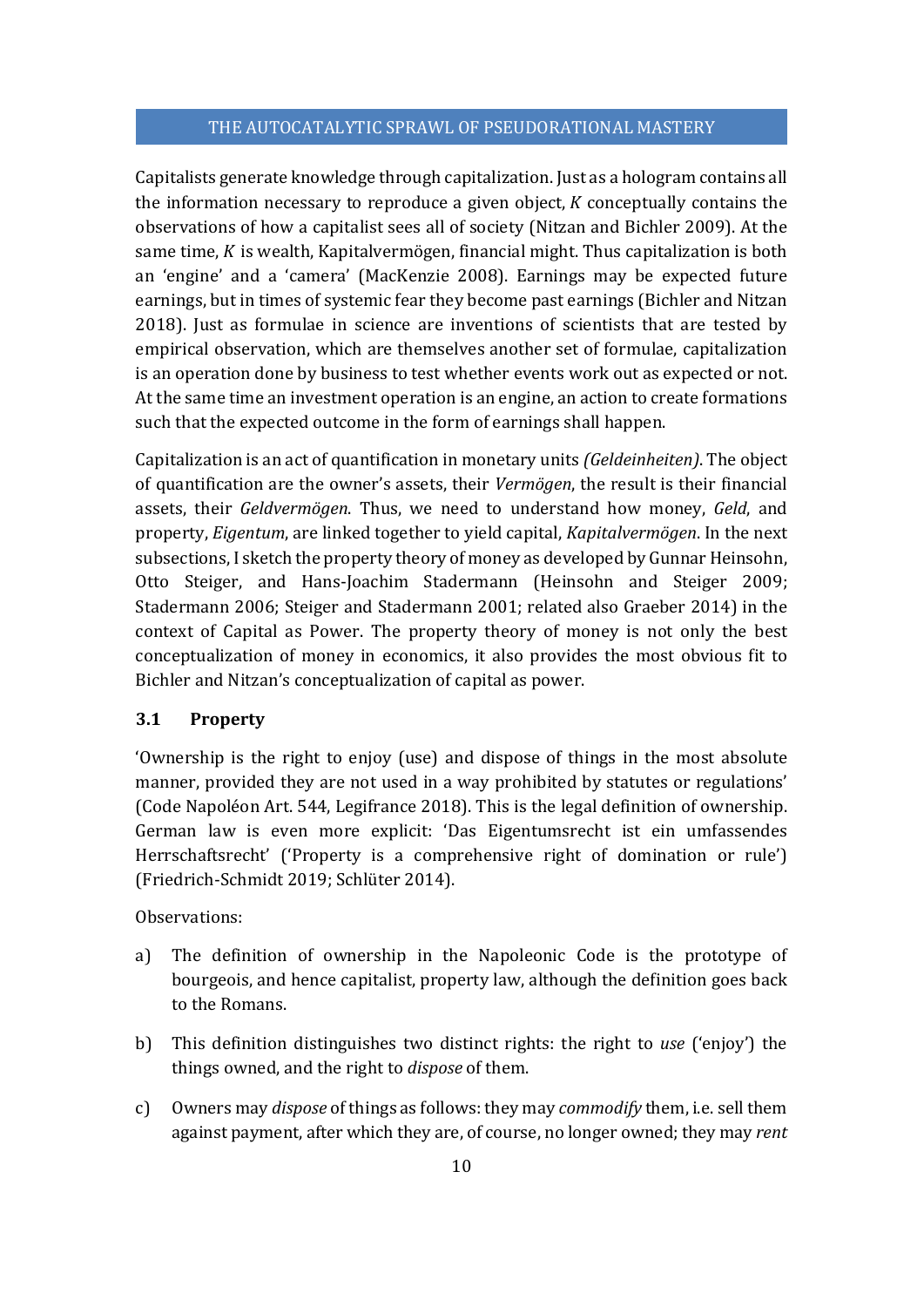Capitalists generate knowledge through capitalization. Just as a hologram contains all the information necessary to reproduce a given object,  $K$  conceptually contains the observations of how a capitalist sees all of society (Nitzan and Bichler 2009). At the same time,  $K$  is wealth, Kapitalvermögen, financial might. Thus capitalization is both an 'engine' and a 'camera' (MacKenzie 2008). Earnings may be expected future earnings, but in times of systemic fear they become past earnings (Bichler and Nitzan 2018). Just as formulae in science are inventions of scientists that are tested by empirical observation, which are themselves another set of formulae, capitalization is an operation done by business to test whether events work out as expected or not. At the same time an investment operation is an engine, an action to create formations such that the expected outcome in the form of earnings shall happen.

Capitalization is an act of quantification in monetary units *(Geldeinheiten)*. The object of quantification are the owner's assets, their *Vermögen*, the result is their financial assets, their *Geldvermögen*. Thus, we need to understand how money, *Geld*, and property, *Eigentum*, are linked together to yield capital, *Kapitalvermögen*. In the next subsections, I sketch the property theory of money as developed by Gunnar Heinsohn, Otto Steiger, and Hans-Joachim Stadermann (Heinsohn and Steiger 2009; Stadermann 2006; Steiger and Stadermann 2001; related also Graeber 2014) in the context of Capital as Power. The property theory of money is not only the best conceptualization of money in economics, it also provides the most obvious fit to Bichler and Nitzan's conceptualization of capital as power.

#### **3.1 Property**

'Ownership is the right to enjoy (use) and dispose of things in the most absolute manner, provided they are not used in a way prohibited by statutes or regulations' (Code Napoléon Art. 544, Legifrance 2018). This is the legal definition of ownership. German law is even more explicit: 'Das Eigentumsrecht ist ein umfassendes Herrschaftsrecht' ('Property is a comprehensive right of domination or rule') (Friedrich-Schmidt 2019; Schlüter 2014).

# Observations:

- a) The definition of ownership in the Napoleonic Code is the prototype of bourgeois, and hence capitalist, property law, although the definition goes back to the Romans.
- b) This definition distinguishes two distinct rights: the right to *use* ('enjoy') the things owned, and the right to *dispose* of them.
- c) Owners may *dispose* of things as follows: they may *commodify* them, i.e. sell them against payment, after which they are, of course, no longer owned; they may *rent*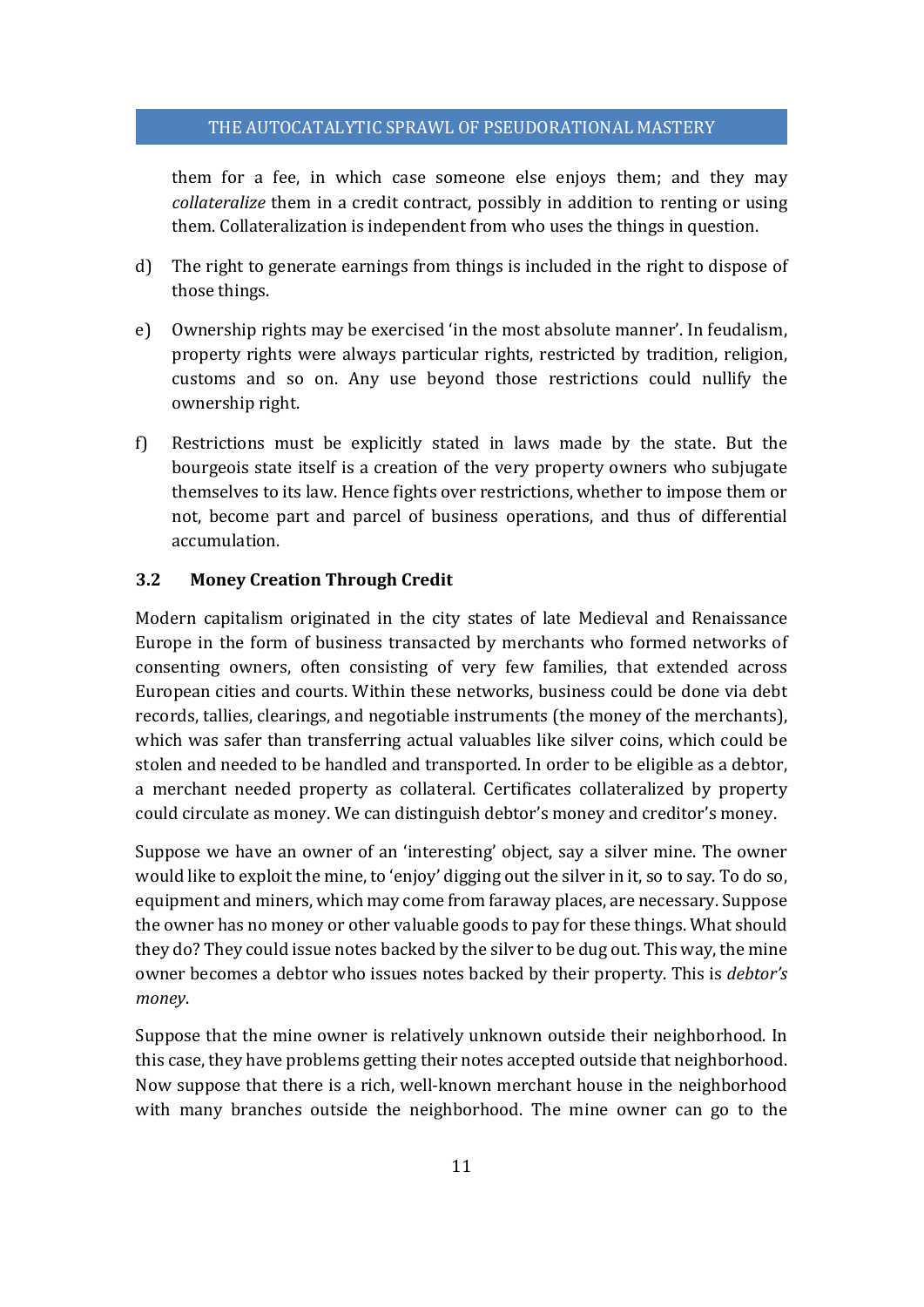them for a fee, in which case someone else enjoys them; and they may *collateralize* them in a credit contract, possibly in addition to renting or using them. Collateralization is independent from who uses the things in question.

- d) The right to generate earnings from things is included in the right to dispose of those things.
- e) Ownership rights may be exercised 'in the most absolute manner'. In feudalism, property rights were always particular rights, restricted by tradition, religion, customs and so on. Any use beyond those restrictions could nullify the ownership right.
- f) Restrictions must be explicitly stated in laws made by the state. But the bourgeois state itself is a creation of the very property owners who subjugate themselves to its law. Hence fights over restrictions, whether to impose them or not, become part and parcel of business operations, and thus of differential accumulation.

#### **3.2 Money Creation Through Credit**

Modern capitalism originated in the city states of late Medieval and Renaissance Europe in the form of business transacted by merchants who formed networks of consenting owners, often consisting of very few families, that extended across European cities and courts. Within these networks, business could be done via debt records, tallies, clearings, and negotiable instruments (the money of the merchants), which was safer than transferring actual valuables like silver coins, which could be stolen and needed to be handled and transported. In order to be eligible as a debtor, a merchant needed property as collateral. Certificates collateralized by property could circulate as money. We can distinguish debtor's money and creditor's money.

Suppose we have an owner of an 'interesting' object, say a silver mine. The owner would like to exploit the mine, to 'enjoy' digging out the silver in it, so to say. To do so, equipment and miners, which may come from faraway places, are necessary. Suppose the owner has no money or other valuable goods to pay for these things. What should they do? They could issue notes backed by the silver to be dug out. This way, the mine owner becomes a debtor who issues notes backed by their property. This is *debtor's money*.

Suppose that the mine owner is relatively unknown outside their neighborhood. In this case, they have problems getting their notes accepted outside that neighborhood. Now suppose that there is a rich, well-known merchant house in the neighborhood with many branches outside the neighborhood. The mine owner can go to the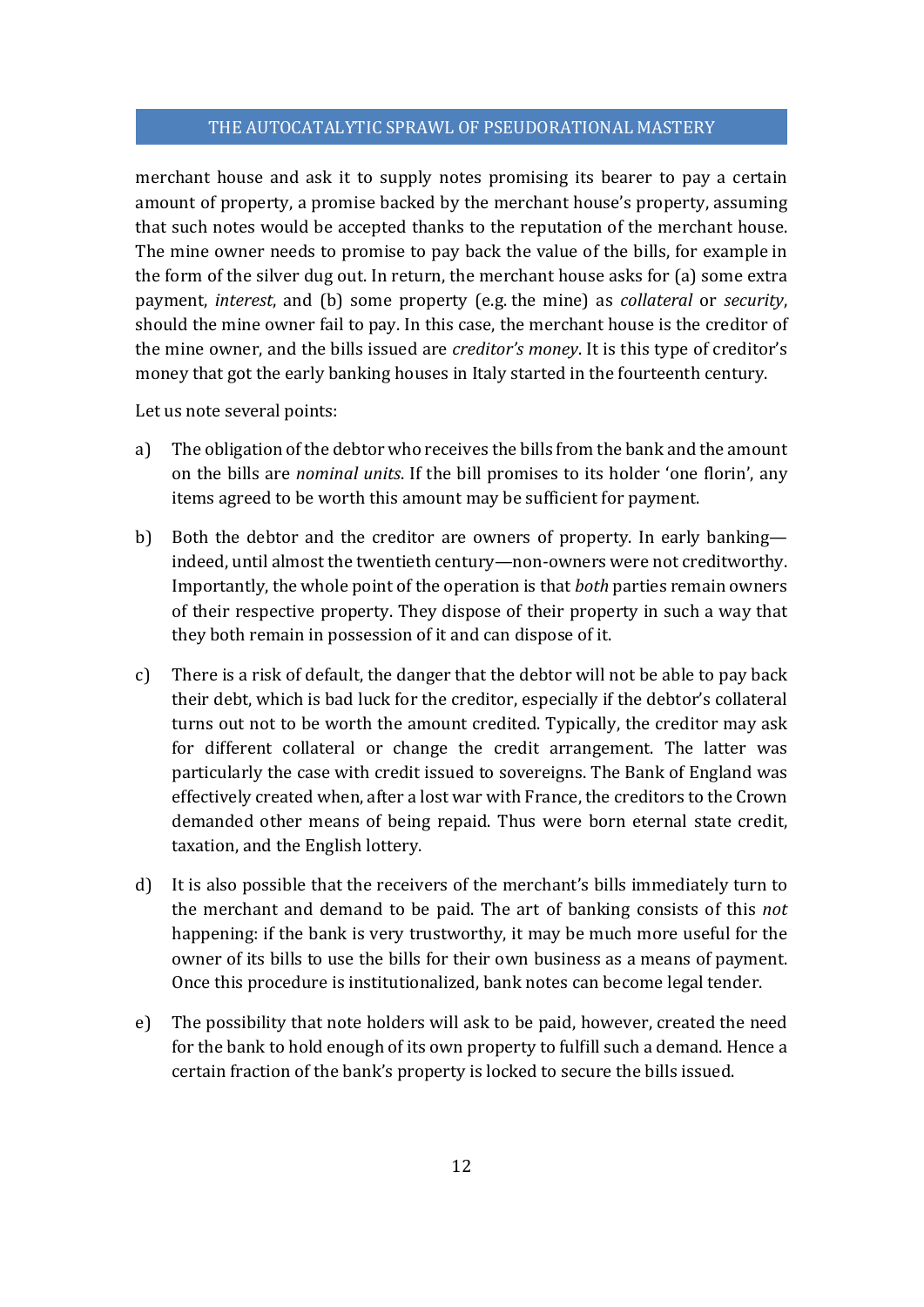merchant house and ask it to supply notes promising its bearer to pay a certain amount of property, a promise backed by the merchant house's property, assuming that such notes would be accepted thanks to the reputation of the merchant house. The mine owner needs to promise to pay back the value of the bills, for example in the form of the silver dug out. In return, the merchant house asks for (a) some extra payment, *interest*, and (b) some property (e.g. the mine) as *collateral* or *security*, should the mine owner fail to pay. In this case, the merchant house is the creditor of the mine owner, and the bills issued are *creditor's money*. It is this type of creditor's money that got the early banking houses in Italy started in the fourteenth century.

Let us note several points:

- a) The obligation of the debtor who receives the bills from the bank and the amount on the bills are *nominal units*. If the bill promises to its holder 'one florin', any items agreed to be worth this amount may be sufficient for payment.
- b) Both the debtor and the creditor are owners of property. In early banking indeed, until almost the twentieth century—non-owners were not creditworthy. Importantly, the whole point of the operation is that *both* parties remain owners of their respective property. They dispose of their property in such a way that they both remain in possession of it and can dispose of it.
- c) There is a risk of default, the danger that the debtor will not be able to pay back their debt, which is bad luck for the creditor, especially if the debtor's collateral turns out not to be worth the amount credited. Typically, the creditor may ask for different collateral or change the credit arrangement. The latter was particularly the case with credit issued to sovereigns. The Bank of England was effectively created when, after a lost war with France, the creditors to the Crown demanded other means of being repaid. Thus were born eternal state credit, taxation, and the English lottery.
- d) It is also possible that the receivers of the merchant's bills immediately turn to the merchant and demand to be paid. The art of banking consists of this *not* happening: if the bank is very trustworthy, it may be much more useful for the owner of its bills to use the bills for their own business as a means of payment. Once this procedure is institutionalized, bank notes can become legal tender.
- e) The possibility that note holders will ask to be paid, however, created the need for the bank to hold enough of its own property to fulfill such a demand. Hence a certain fraction of the bank's property is locked to secure the bills issued.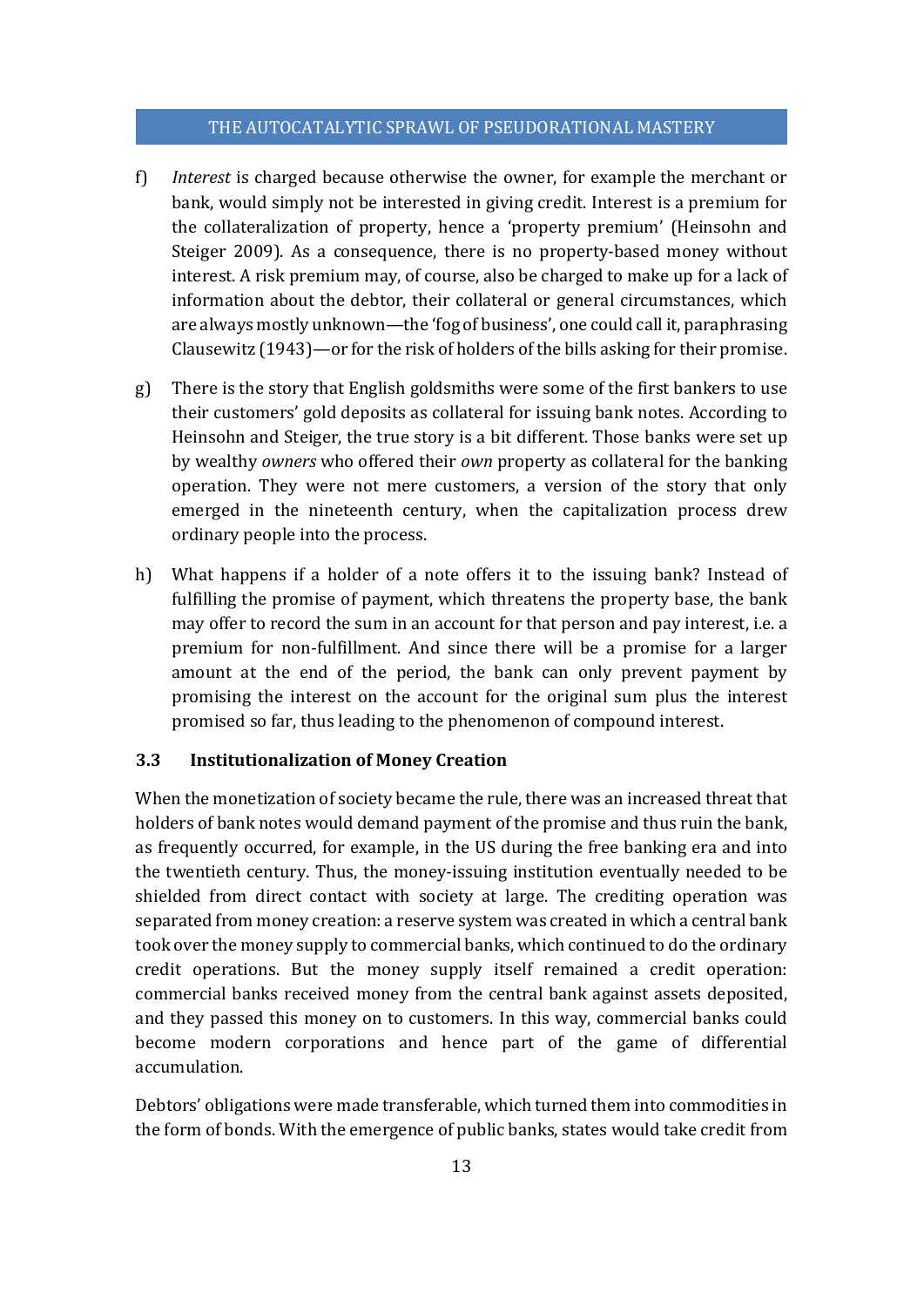- f) *Interest* is charged because otherwise the owner, for example the merchant or bank, would simply not be interested in giving credit. Interest is a premium for the collateralization of property, hence a 'property premium' (Heinsohn and Steiger 2009). As a consequence, there is no property-based money without interest. A risk premium may, of course, also be charged to make up for a lack of information about the debtor, their collateral or general circumstances, which are always mostly unknown—the 'fog of business', one could call it, paraphrasing Clausewitz (1943)—or for the risk of holders of the bills asking for their promise.
- g) There is the story that English goldsmiths were some of the first bankers to use their customers' gold deposits as collateral for issuing bank notes. According to Heinsohn and Steiger, the true story is a bit different. Those banks were set up by wealthy *owners* who offered their *own* property as collateral for the banking operation. They were not mere customers, a version of the story that only emerged in the nineteenth century, when the capitalization process drew ordinary people into the process.
- h) What happens if a holder of a note offers it to the issuing bank? Instead of fulfilling the promise of payment, which threatens the property base, the bank may offer to record the sum in an account for that person and pay interest, i.e. a premium for non-fulfillment. And since there will be a promise for a larger amount at the end of the period, the bank can only prevent payment by promising the interest on the account for the original sum plus the interest promised so far, thus leading to the phenomenon of compound interest.

#### **3.3 Institutionalization of Money Creation**

When the monetization of society became the rule, there was an increased threat that holders of bank notes would demand payment of the promise and thus ruin the bank, as frequently occurred, for example, in the US during the free banking era and into the twentieth century. Thus, the money-issuing institution eventually needed to be shielded from direct contact with society at large. The crediting operation was separated from money creation: a reserve system was created in which a central bank took over the money supply to commercial banks, which continued to do the ordinary credit operations. But the money supply itself remained a credit operation: commercial banks received money from the central bank against assets deposited, and they passed this money on to customers. In this way, commercial banks could become modern corporations and hence part of the game of differential accumulation.

Debtors' obligations were made transferable, which turned them into commodities in the form of bonds. With the emergence of public banks, states would take credit from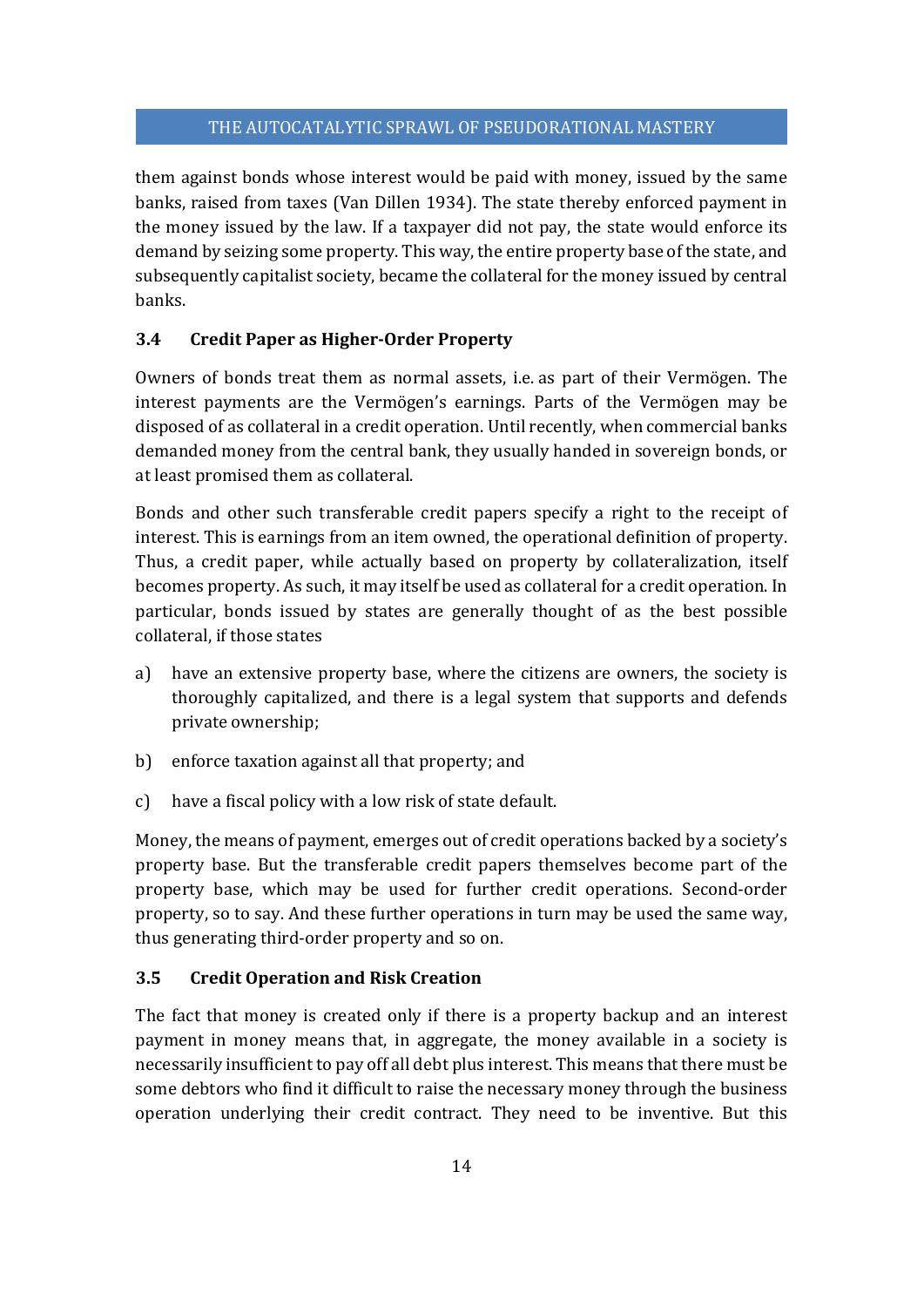them against bonds whose interest would be paid with money, issued by the same banks, raised from taxes (Van Dillen 1934). The state thereby enforced payment in the money issued by the law. If a taxpayer did not pay, the state would enforce its demand by seizing some property. This way, the entire property base of the state, and subsequently capitalist society, became the collateral for the money issued by central banks.

# **3.4 Credit Paper as Higher‐Order Property**

Owners of bonds treat them as normal assets, i.e. as part of their Vermögen. The interest payments are the Vermögen's earnings. Parts of the Vermögen may be disposed of as collateral in a credit operation. Until recently, when commercial banks demanded money from the central bank, they usually handed in sovereign bonds, or at least promised them as collateral.

Bonds and other such transferable credit papers specify a right to the receipt of interest. This is earnings from an item owned, the operational definition of property. Thus, a credit paper, while actually based on property by collateralization, itself becomes property. As such, it may itself be used as collateral for a credit operation. In particular, bonds issued by states are generally thought of as the best possible collateral, if those states

- a) have an extensive property base, where the citizens are owners, the society is thoroughly capitalized, and there is a legal system that supports and defends private ownership;
- b) enforce taxation against all that property; and
- c) have a fiscal policy with a low risk of state default.

Money, the means of payment, emerges out of credit operations backed by a society's property base. But the transferable credit papers themselves become part of the property base, which may be used for further credit operations. Second-order property, so to say. And these further operations in turn may be used the same way, thus generating third-order property and so on.

# **3.5 Credit Operation and Risk Creation**

The fact that money is created only if there is a property backup and an interest payment in money means that, in aggregate, the money available in a society is necessarily insufficient to pay off all debt plus interest. This means that there must be some debtors who find it difficult to raise the necessary money through the business operation underlying their credit contract. They need to be inventive. But this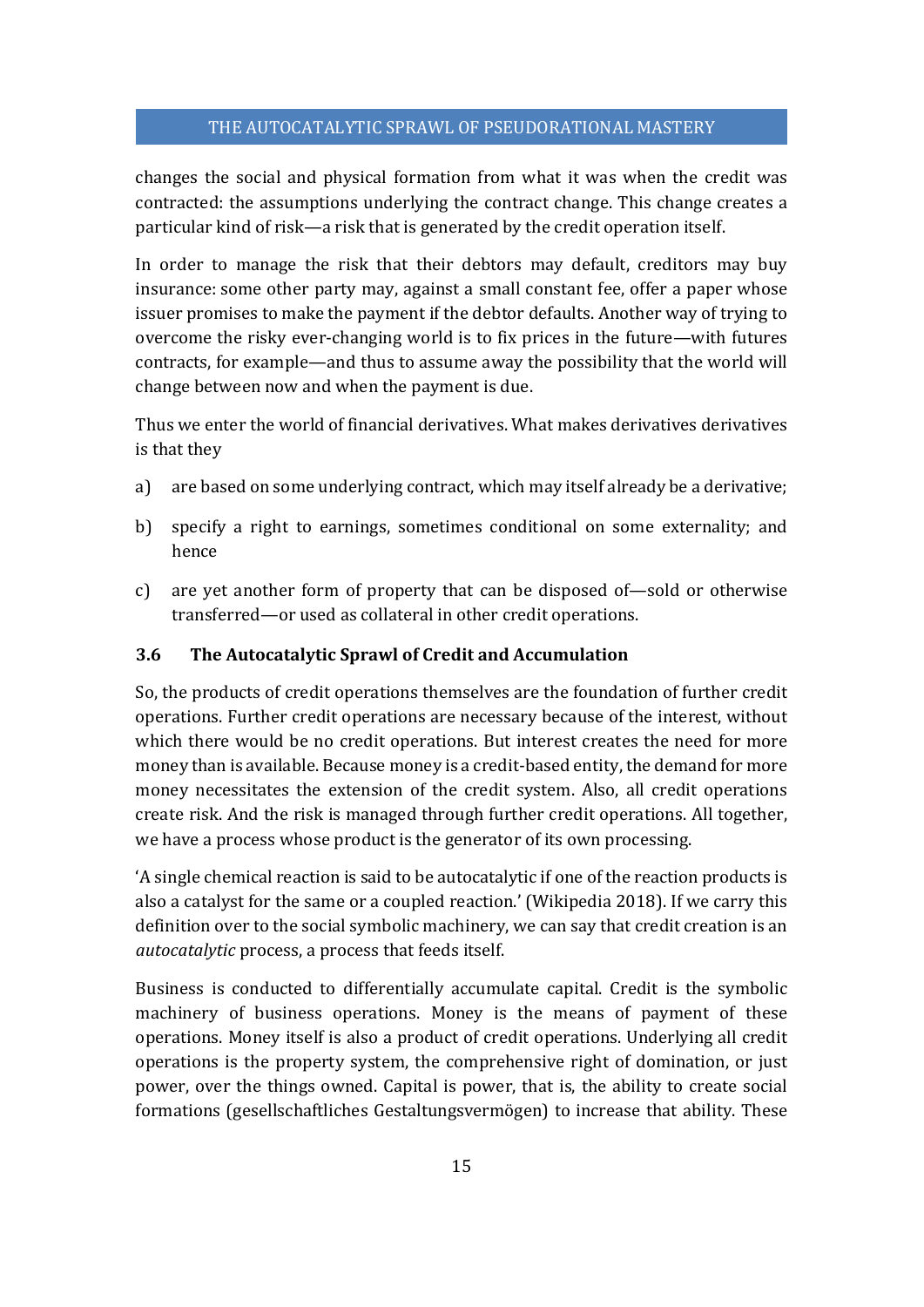changes the social and physical formation from what it was when the credit was contracted: the assumptions underlying the contract change. This change creates a particular kind of risk—a risk that is generated by the credit operation itself.

In order to manage the risk that their debtors may default, creditors may buy insurance: some other party may, against a small constant fee, offer a paper whose issuer promises to make the payment if the debtor defaults. Another way of trying to overcome the risky ever-changing world is to fix prices in the future—with futures contracts, for example—and thus to assume away the possibility that the world will change between now and when the payment is due.

Thus we enter the world of financial derivatives. What makes derivatives derivatives is that they

- a) are based on some underlying contract, which may itself already be a derivative;
- b) specify a right to earnings, sometimes conditional on some externality; and hence
- c) are yet another form of property that can be disposed of—sold or otherwise transferred—or used as collateral in other credit operations.

# **3.6 The Autocatalytic Sprawl of Credit and Accumulation**

So, the products of credit operations themselves are the foundation of further credit operations. Further credit operations are necessary because of the interest, without which there would be no credit operations. But interest creates the need for more money than is available. Because money is a credit-based entity, the demand for more money necessitates the extension of the credit system. Also, all credit operations create risk. And the risk is managed through further credit operations. All together, we have a process whose product is the generator of its own processing.

'A single chemical reaction is said to be autocatalytic if one of the reaction products is also a catalyst for the same or a coupled reaction.' (Wikipedia 2018). If we carry this definition over to the social symbolic machinery, we can say that credit creation is an *autocatalytic* process, a process that feeds itself.

Business is conducted to differentially accumulate capital. Credit is the symbolic machinery of business operations. Money is the means of payment of these operations. Money itself is also a product of credit operations. Underlying all credit operations is the property system, the comprehensive right of domination, or just power, over the things owned. Capital is power, that is, the ability to create social formations (gesellschaftliches Gestaltungsvermögen) to increase that ability. These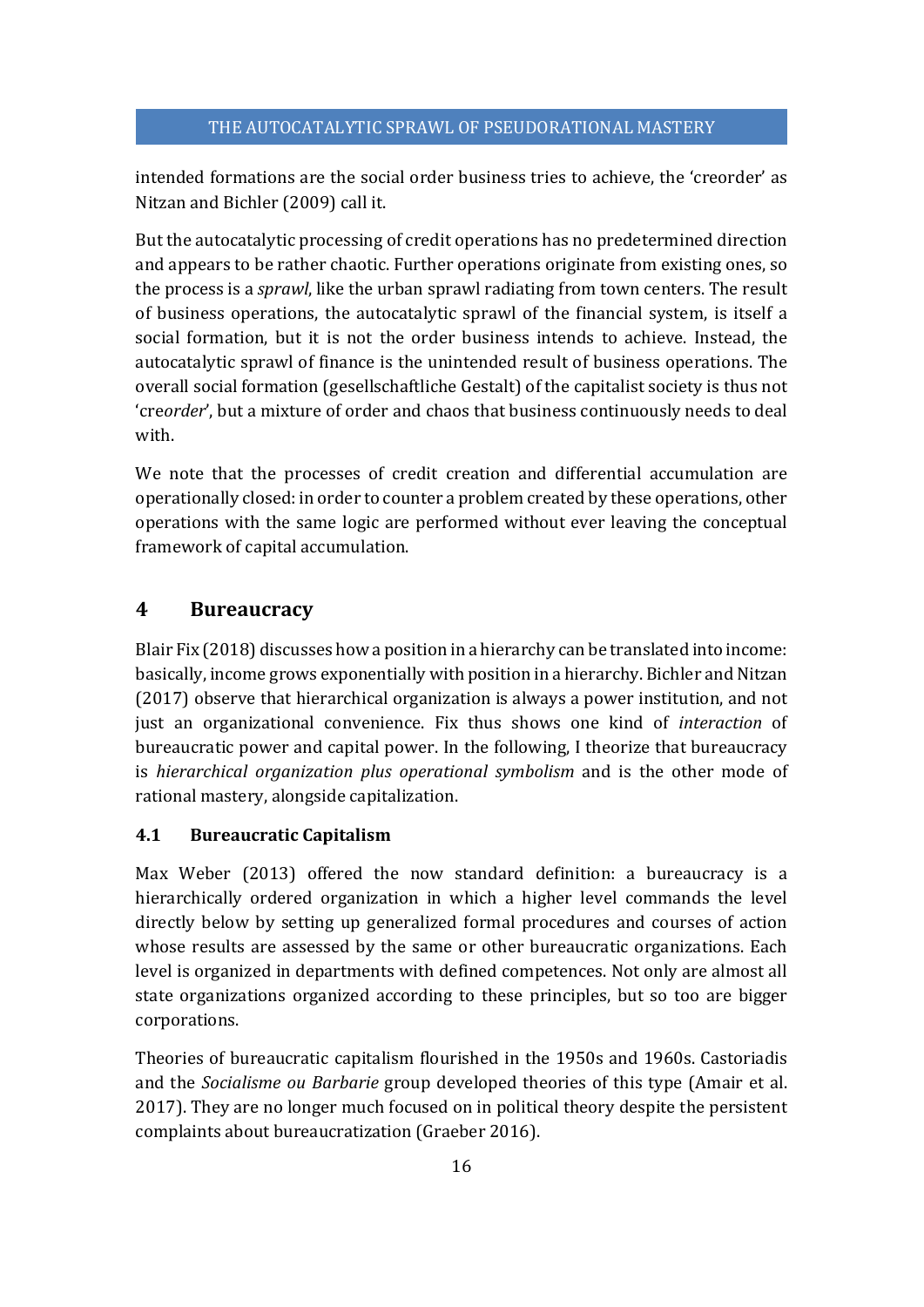intended formations are the social order business tries to achieve, the 'creorder' as Nitzan and Bichler (2009) call it.

But the autocatalytic processing of credit operations has no predetermined direction and appears to be rather chaotic. Further operations originate from existing ones, so the process is a *sprawl*, like the urban sprawl radiating from town centers. The result of business operations, the autocatalytic sprawl of the financial system, is itself a social formation, but it is not the order business intends to achieve. Instead, the autocatalytic sprawl of finance is the unintended result of business operations. The overall social formation (gesellschaftliche Gestalt) of the capitalist society is thus not 'cre*order*', but a mixture of order and chaos that business continuously needs to deal with.

We note that the processes of credit creation and differential accumulation are operationally closed: in order to counter a problem created by these operations, other operations with the same logic are performed without ever leaving the conceptual framework of capital accumulation.

# **4 Bureaucracy**

Blair Fix (2018) discusses how a position in a hierarchy can be translated into income: basically, income grows exponentially with position in a hierarchy. Bichler and Nitzan (2017) observe that hierarchical organization is always a power institution, and not just an organizational convenience. Fix thus shows one kind of *interaction* of bureaucratic power and capital power. In the following, I theorize that bureaucracy is *hierarchical organization plus operational symbolism* and is the other mode of rational mastery, alongside capitalization.

# **4.1 Bureaucratic Capitalism**

Max Weber (2013) offered the now standard definition: a bureaucracy is a hierarchically ordered organization in which a higher level commands the level directly below by setting up generalized formal procedures and courses of action whose results are assessed by the same or other bureaucratic organizations. Each level is organized in departments with defined competences. Not only are almost all state organizations organized according to these principles, but so too are bigger corporations.

Theories of bureaucratic capitalism flourished in the 1950s and 1960s. Castoriadis and the *Socialisme ou Barbarie* group developed theories of this type (Amair et al. 2017). They are no longer much focused on in political theory despite the persistent complaints about bureaucratization (Graeber 2016).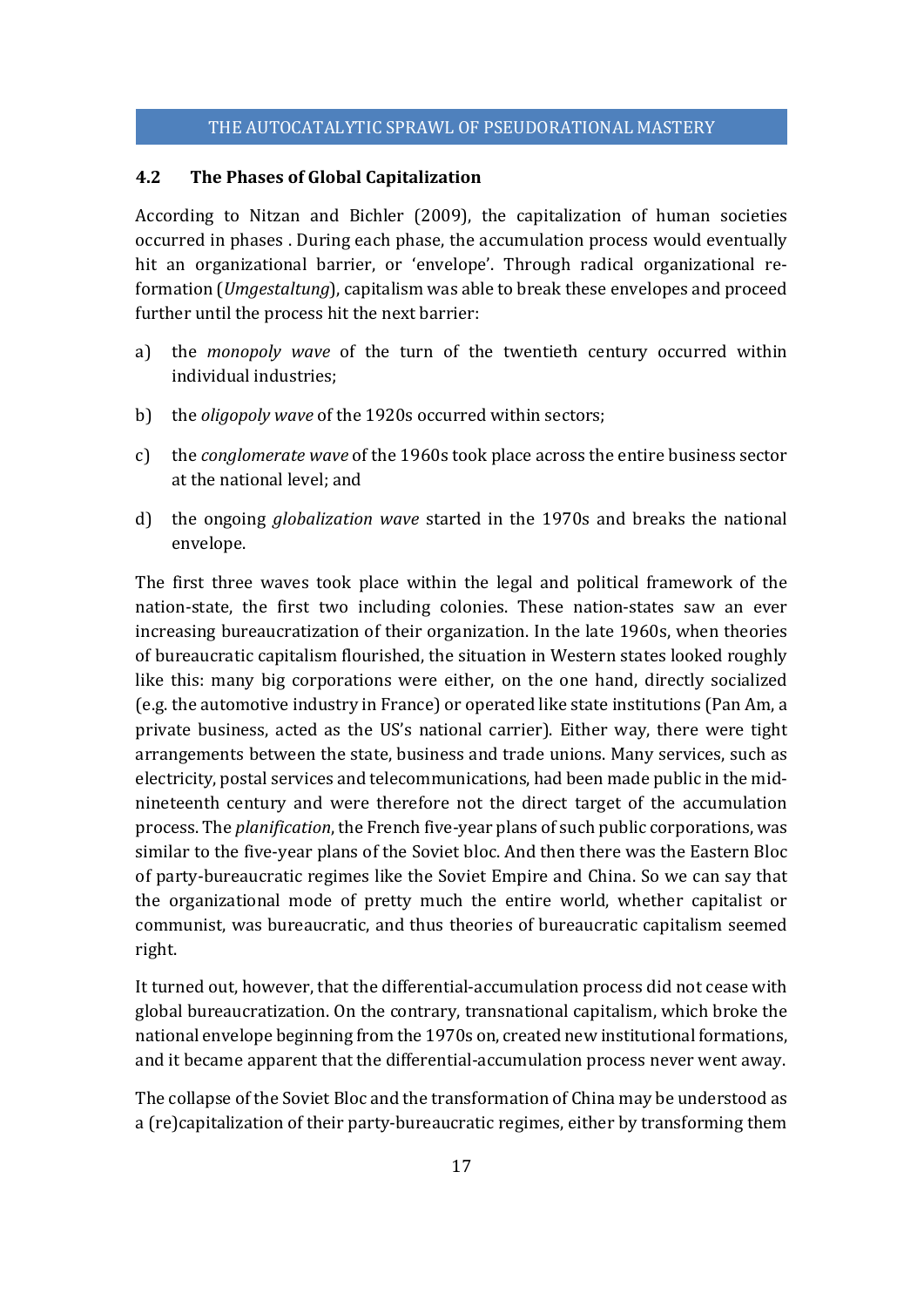## **4.2 The Phases of Global Capitalization**

According to Nitzan and Bichler (2009), the capitalization of human societies occurred in phases . During each phase, the accumulation process would eventually hit an organizational barrier, or 'envelope'. Through radical organizational reformation (*Umgestaltung*), capitalism was able to break these envelopes and proceed further until the process hit the next barrier:

- a) the *monopoly wave* of the turn of the twentieth century occurred within individual industries;
- b) the *oligopoly wave* of the 1920s occurred within sectors;
- c) the *conglomerate wave* of the 1960s took place across the entire business sector at the national level; and
- d) the ongoing *globalization wave* started in the 1970s and breaks the national envelope.

The first three waves took place within the legal and political framework of the nation-state, the first two including colonies. These nation-states saw an ever increasing bureaucratization of their organization. In the late 1960s, when theories of bureaucratic capitalism flourished, the situation in Western states looked roughly like this: many big corporations were either, on the one hand, directly socialized (e.g. the automotive industry in France) or operated like state institutions (Pan Am, a private business, acted as the US's national carrier). Either way, there were tight arrangements between the state, business and trade unions. Many services, such as electricity, postal services and telecommunications, had been made public in the midnineteenth century and were therefore not the direct target of the accumulation process. The *planification*, the French five-year plans of such public corporations, was similar to the five-year plans of the Soviet bloc. And then there was the Eastern Bloc of party-bureaucratic regimes like the Soviet Empire and China. So we can say that the organizational mode of pretty much the entire world, whether capitalist or communist, was bureaucratic, and thus theories of bureaucratic capitalism seemed right.

It turned out, however, that the differential-accumulation process did not cease with global bureaucratization. On the contrary, transnational capitalism, which broke the national envelope beginning from the 1970s on, created new institutional formations, and it became apparent that the differential-accumulation process never went away.

The collapse of the Soviet Bloc and the transformation of China may be understood as a (re)capitalization of their party-bureaucratic regimes, either by transforming them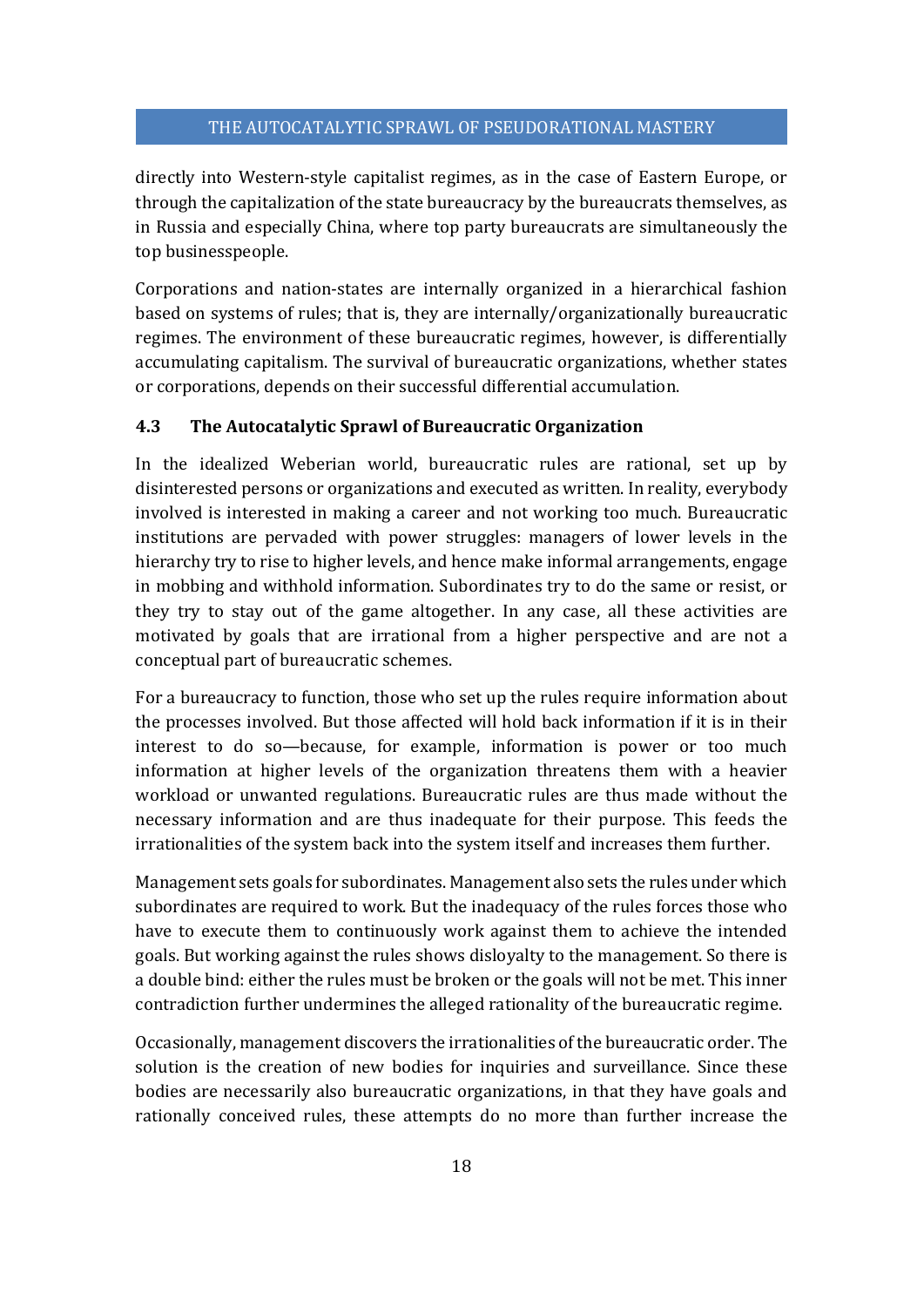directly into Western-style capitalist regimes, as in the case of Eastern Europe, or through the capitalization of the state bureaucracy by the bureaucrats themselves, as in Russia and especially China, where top party bureaucrats are simultaneously the top businesspeople.

Corporations and nation-states are internally organized in a hierarchical fashion based on systems of rules; that is, they are internally/organizationally bureaucratic regimes. The environment of these bureaucratic regimes, however, is differentially accumulating capitalism. The survival of bureaucratic organizations, whether states or corporations, depends on their successful differential accumulation.

# **4.3 The Autocatalytic Sprawl of Bureaucratic Organization**

In the idealized Weberian world, bureaucratic rules are rational, set up by disinterested persons or organizations and executed as written. In reality, everybody involved is interested in making a career and not working too much. Bureaucratic institutions are pervaded with power struggles: managers of lower levels in the hierarchy try to rise to higher levels, and hence make informal arrangements, engage in mobbing and withhold information. Subordinates try to do the same or resist, or they try to stay out of the game altogether. In any case, all these activities are motivated by goals that are irrational from a higher perspective and are not a conceptual part of bureaucratic schemes.

For a bureaucracy to function, those who set up the rules require information about the processes involved. But those affected will hold back information if it is in their interest to do so—because, for example, information is power or too much information at higher levels of the organization threatens them with a heavier workload or unwanted regulations. Bureaucratic rules are thus made without the necessary information and are thus inadequate for their purpose. This feeds the irrationalities of the system back into the system itself and increases them further.

Management sets goals for subordinates. Management also sets the rules under which subordinates are required to work. But the inadequacy of the rules forces those who have to execute them to continuously work against them to achieve the intended goals. But working against the rules shows disloyalty to the management. So there is a double bind: either the rules must be broken or the goals will not be met. This inner contradiction further undermines the alleged rationality of the bureaucratic regime.

Occasionally, management discovers the irrationalities of the bureaucratic order. The solution is the creation of new bodies for inquiries and surveillance. Since these bodies are necessarily also bureaucratic organizations, in that they have goals and rationally conceived rules, these attempts do no more than further increase the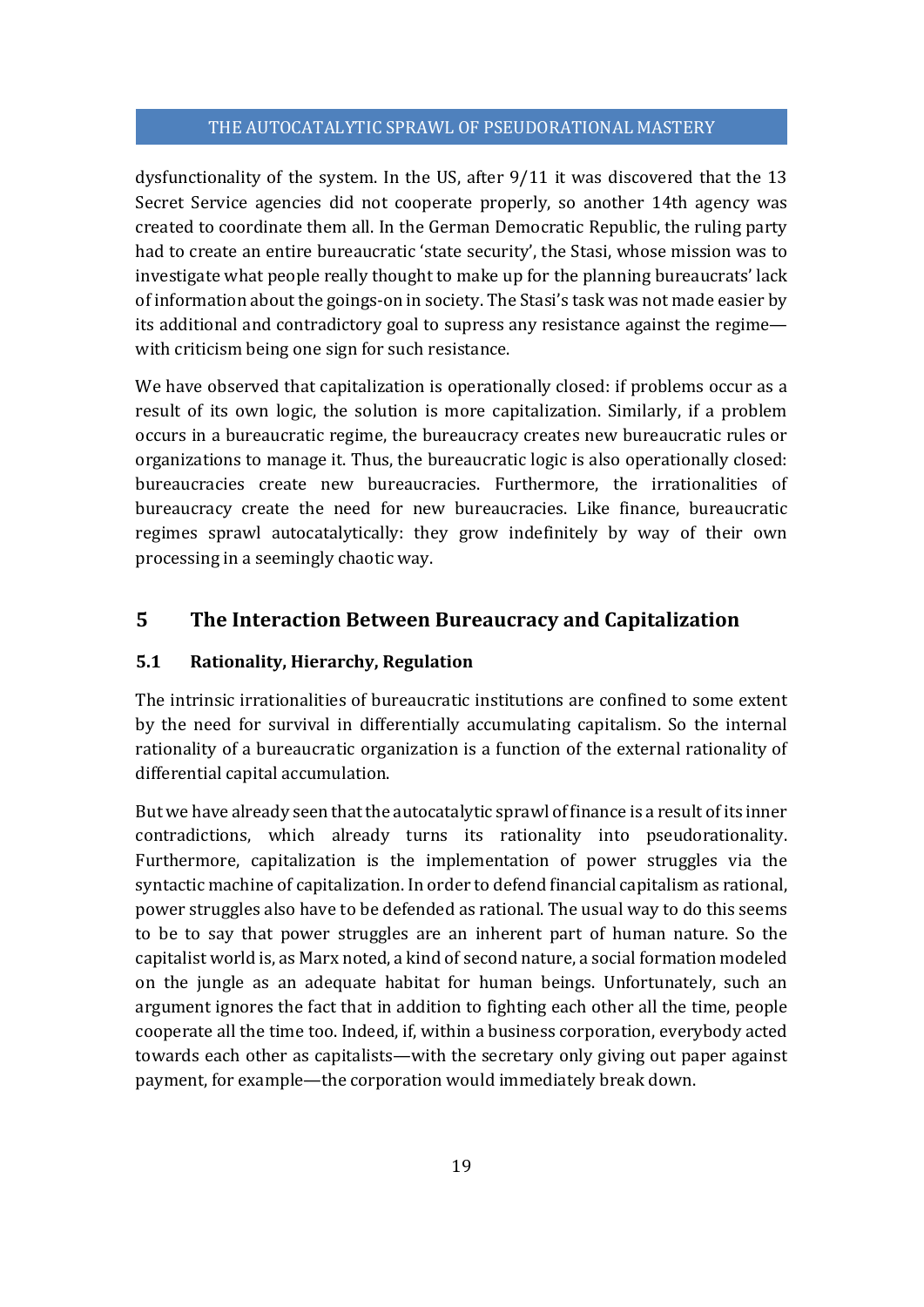dysfunctionality of the system. In the US, after 9/11 it was discovered that the 13 Secret Service agencies did not cooperate properly, so another 14th agency was created to coordinate them all. In the German Democratic Republic, the ruling party had to create an entire bureaucratic 'state security', the Stasi, whose mission was to investigate what people really thought to make up for the planning bureaucrats' lack of information about the goings-on in society. The Stasi's task was not made easier by its additional and contradictory goal to supress any resistance against the regime with criticism being one sign for such resistance.

We have observed that capitalization is operationally closed: if problems occur as a result of its own logic, the solution is more capitalization. Similarly, if a problem occurs in a bureaucratic regime, the bureaucracy creates new bureaucratic rules or organizations to manage it. Thus, the bureaucratic logic is also operationally closed: bureaucracies create new bureaucracies. Furthermore, the irrationalities of bureaucracy create the need for new bureaucracies. Like finance, bureaucratic regimes sprawl autocatalytically: they grow indefinitely by way of their own processing in a seemingly chaotic way.

# **5 The Interaction Between Bureaucracy and Capitalization**

## **5.1 Rationality, Hierarchy, Regulation**

The intrinsic irrationalities of bureaucratic institutions are confined to some extent by the need for survival in differentially accumulating capitalism. So the internal rationality of a bureaucratic organization is a function of the external rationality of differential capital accumulation.

But we have already seen that the autocatalytic sprawl of finance is a result of its inner contradictions, which already turns its rationality into pseudorationality. Furthermore, capitalization is the implementation of power struggles via the syntactic machine of capitalization. In order to defend financial capitalism as rational, power struggles also have to be defended as rational. The usual way to do this seems to be to say that power struggles are an inherent part of human nature. So the capitalist world is, as Marx noted, a kind of second nature, a social formation modeled on the jungle as an adequate habitat for human beings. Unfortunately, such an argument ignores the fact that in addition to fighting each other all the time, people cooperate all the time too. Indeed, if, within a business corporation, everybody acted towards each other as capitalists—with the secretary only giving out paper against payment, for example—the corporation would immediately break down.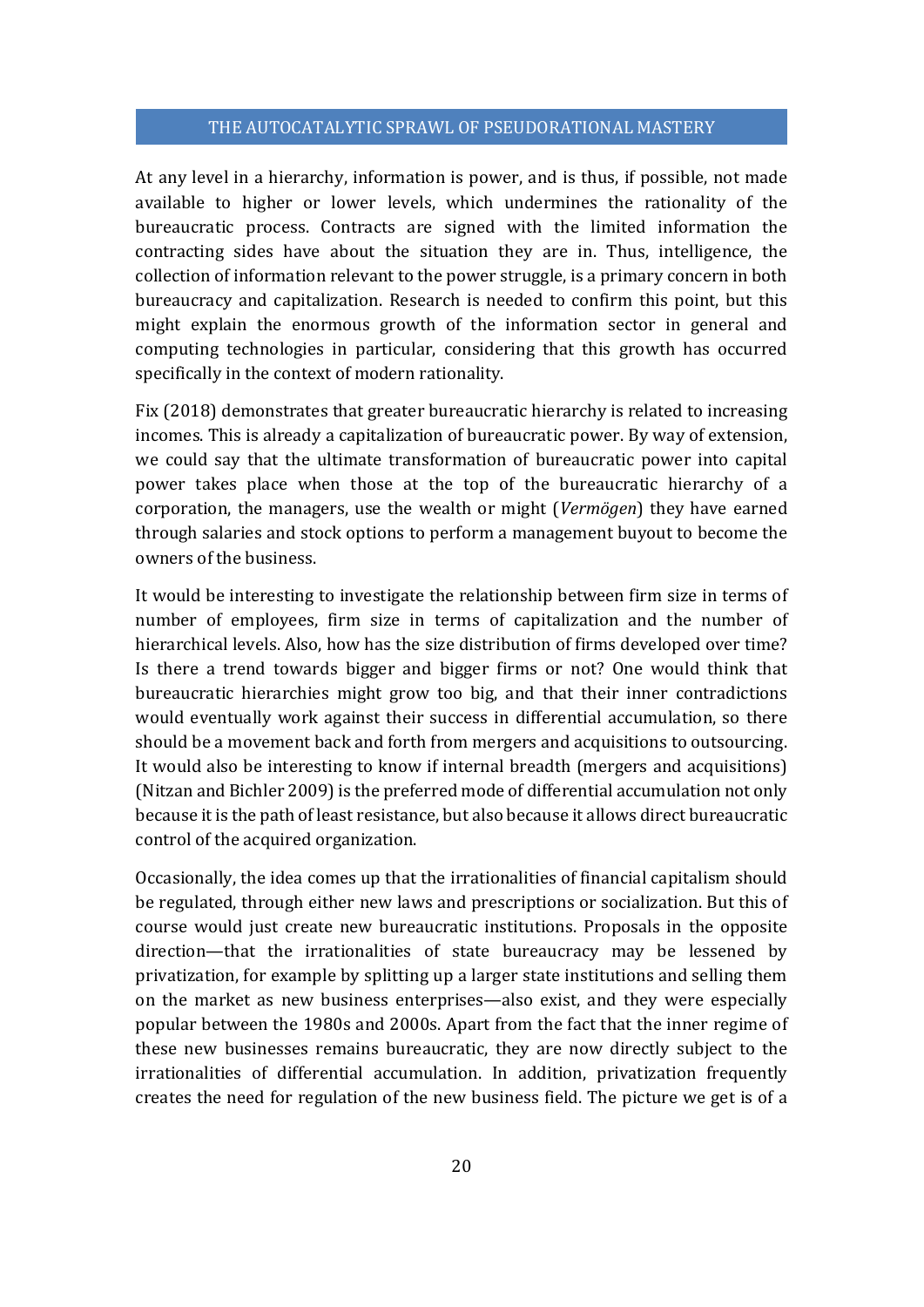At any level in a hierarchy, information is power, and is thus, if possible, not made available to higher or lower levels, which undermines the rationality of the bureaucratic process. Contracts are signed with the limited information the contracting sides have about the situation they are in. Thus, intelligence, the collection of information relevant to the power struggle, is a primary concern in both bureaucracy and capitalization. Research is needed to confirm this point, but this might explain the enormous growth of the information sector in general and computing technologies in particular, considering that this growth has occurred specifically in the context of modern rationality.

Fix (2018) demonstrates that greater bureaucratic hierarchy is related to increasing incomes. This is already a capitalization of bureaucratic power. By way of extension, we could say that the ultimate transformation of bureaucratic power into capital power takes place when those at the top of the bureaucratic hierarchy of a corporation, the managers, use the wealth or might (*Vermögen*) they have earned through salaries and stock options to perform a management buyout to become the owners of the business.

It would be interesting to investigate the relationship between firm size in terms of number of employees, firm size in terms of capitalization and the number of hierarchical levels. Also, how has the size distribution of firms developed over time? Is there a trend towards bigger and bigger firms or not? One would think that bureaucratic hierarchies might grow too big, and that their inner contradictions would eventually work against their success in differential accumulation, so there should be a movement back and forth from mergers and acquisitions to outsourcing. It would also be interesting to know if internal breadth (mergers and acquisitions) (Nitzan and Bichler 2009) is the preferred mode of differential accumulation not only because it is the path of least resistance, but also because it allows direct bureaucratic control of the acquired organization.

Occasionally, the idea comes up that the irrationalities of financial capitalism should be regulated, through either new laws and prescriptions or socialization. But this of course would just create new bureaucratic institutions. Proposals in the opposite direction—that the irrationalities of state bureaucracy may be lessened by privatization, for example by splitting up a larger state institutions and selling them on the market as new business enterprises—also exist, and they were especially popular between the 1980s and 2000s. Apart from the fact that the inner regime of these new businesses remains bureaucratic, they are now directly subject to the irrationalities of differential accumulation. In addition, privatization frequently creates the need for regulation of the new business field. The picture we get is of a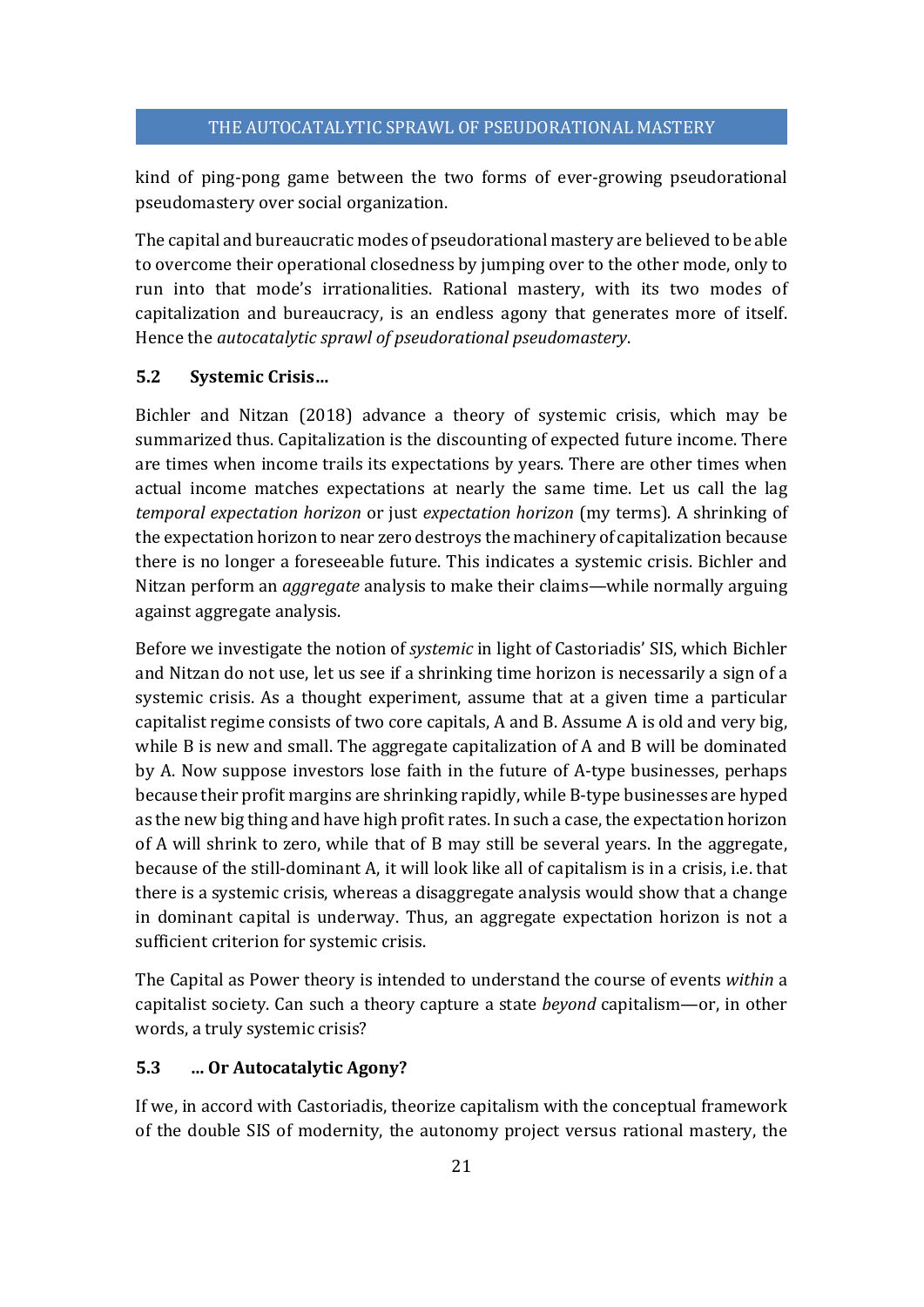kind of ping-pong game between the two forms of ever-growing pseudorational pseudomastery over social organization.

The capital and bureaucratic modes of pseudorational mastery are believed to be able to overcome their operational closedness by jumping over to the other mode, only to run into that mode's irrationalities. Rational mastery, with its two modes of capitalization and bureaucracy, is an endless agony that generates more of itself. Hence the *autocatalytic sprawl of pseudorational pseudomastery*.

## **5.2 Systemic Crisis…**

Bichler and Nitzan (2018) advance a theory of systemic crisis, which may be summarized thus. Capitalization is the discounting of expected future income. There are times when income trails its expectations by years. There are other times when actual income matches expectations at nearly the same time. Let us call the lag *temporal expectation horizon* or just *expectation horizon* (my terms). A shrinking of the expectation horizon to near zero destroys the machinery of capitalization because there is no longer a foreseeable future. This indicates a systemic crisis. Bichler and Nitzan perform an *aggregate* analysis to make their claims—while normally arguing against aggregate analysis.

Before we investigate the notion of *systemic* in light of Castoriadis' SIS, which Bichler and Nitzan do not use, let us see if a shrinking time horizon is necessarily a sign of a systemic crisis. As a thought experiment, assume that at a given time a particular capitalist regime consists of two core capitals, A and B. Assume A is old and very big, while B is new and small. The aggregate capitalization of A and B will be dominated by A. Now suppose investors lose faith in the future of A-type businesses, perhaps because their profit margins are shrinking rapidly, while B-type businesses are hyped as the new big thing and have high profit rates. In such a case, the expectation horizon of A will shrink to zero, while that of B may still be several years. In the aggregate, because of the still-dominant A, it will look like all of capitalism is in a crisis, i.e. that there is a systemic crisis, whereas a disaggregate analysis would show that a change in dominant capital is underway. Thus, an aggregate expectation horizon is not a sufficient criterion for systemic crisis.

The Capital as Power theory is intended to understand the course of events *within* a capitalist society. Can such a theory capture a state *beyond* capitalism—or, in other words, a truly systemic crisis?

#### **5.3 … Or Autocatalytic Agony?**

If we, in accord with Castoriadis, theorize capitalism with the conceptual framework of the double SIS of modernity, the autonomy project versus rational mastery, the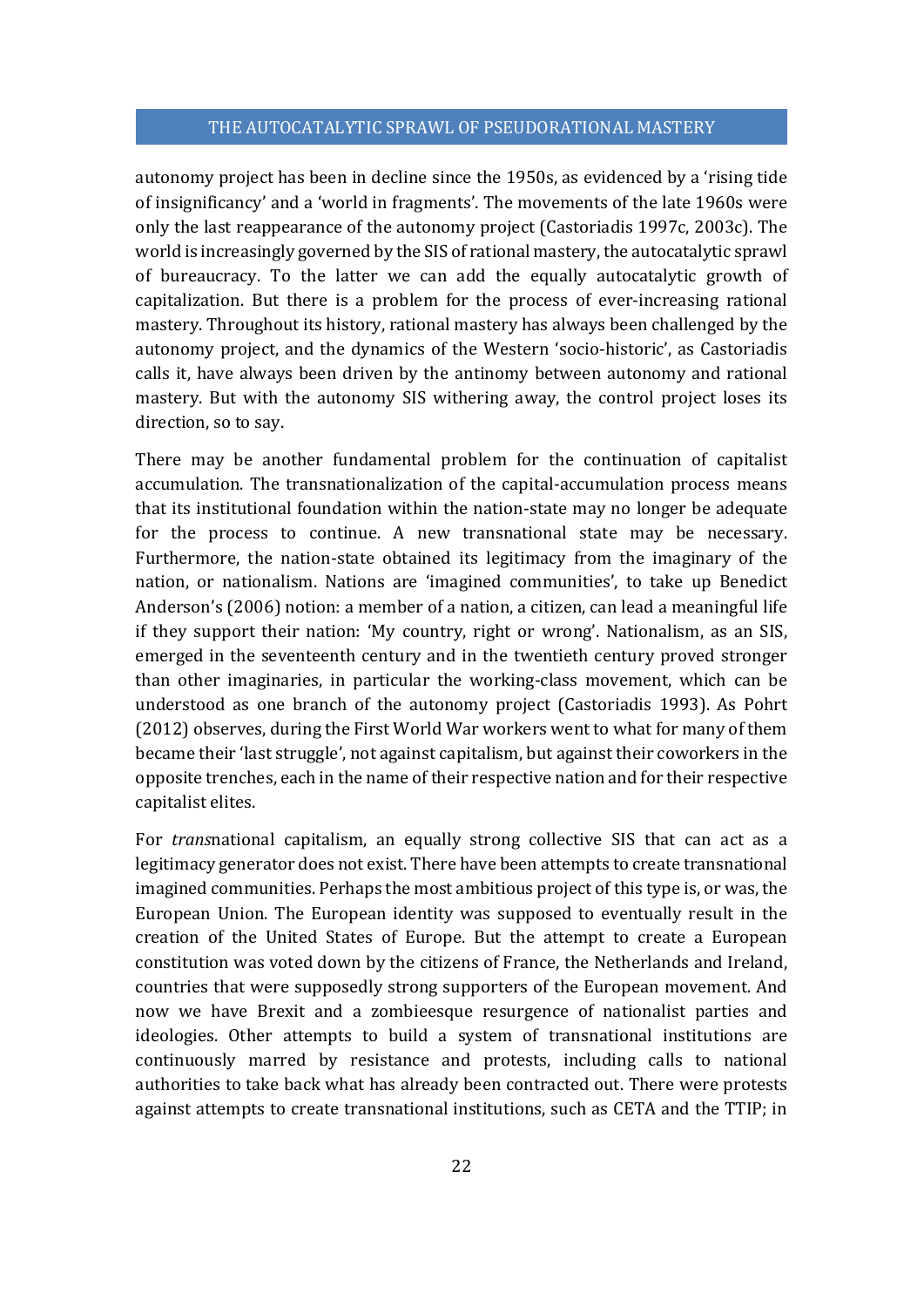autonomy project has been in decline since the 1950s, as evidenced by a 'rising tide of insignificancy' and a 'world in fragments'. The movements of the late 1960s were only the last reappearance of the autonomy project (Castoriadis 1997c, 2003c). The world is increasingly governed by the SIS of rational mastery, the autocatalytic sprawl of bureaucracy. To the latter we can add the equally autocatalytic growth of capitalization. But there is a problem for the process of ever-increasing rational mastery. Throughout its history, rational mastery has always been challenged by the autonomy project, and the dynamics of the Western 'socio-historic', as Castoriadis calls it, have always been driven by the antinomy between autonomy and rational mastery. But with the autonomy SIS withering away, the control project loses its direction, so to say.

There may be another fundamental problem for the continuation of capitalist accumulation. The transnationalization of the capital-accumulation process means that its institutional foundation within the nation-state may no longer be adequate for the process to continue. A new transnational state may be necessary. Furthermore, the nation-state obtained its legitimacy from the imaginary of the nation, or nationalism. Nations are 'imagined communities', to take up Benedict Anderson's (2006) notion: a member of a nation, a citizen, can lead a meaningful life if they support their nation: 'My country, right or wrong'. Nationalism, as an SIS, emerged in the seventeenth century and in the twentieth century proved stronger than other imaginaries, in particular the working-class movement, which can be understood as one branch of the autonomy project (Castoriadis 1993). As Pohrt (2012) observes, during the First World War workers went to what for many of them became their 'last struggle', not against capitalism, but against their coworkers in the opposite trenches, each in the name of their respective nation and for their respective capitalist elites.

For *trans*national capitalism, an equally strong collective SIS that can act as a legitimacy generator does not exist. There have been attempts to create transnational imagined communities. Perhaps the most ambitious project of this type is, or was, the European Union. The European identity was supposed to eventually result in the creation of the United States of Europe. But the attempt to create a European constitution was voted down by the citizens of France, the Netherlands and Ireland, countries that were supposedly strong supporters of the European movement. And now we have Brexit and a zombieesque resurgence of nationalist parties and ideologies. Other attempts to build a system of transnational institutions are continuously marred by resistance and protests, including calls to national authorities to take back what has already been contracted out. There were protests against attempts to create transnational institutions, such as CETA and the TTIP; in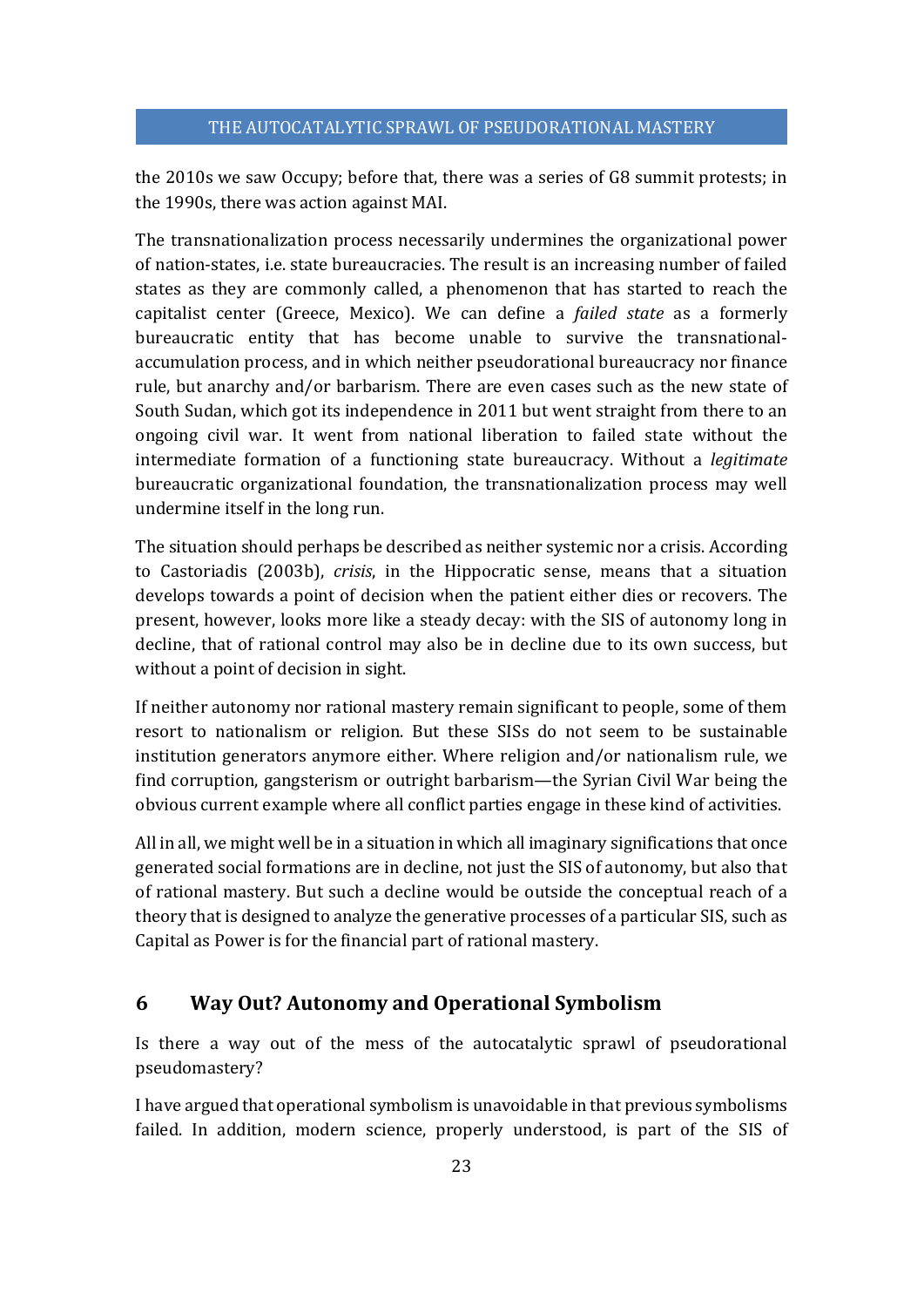the 2010s we saw Occupy; before that, there was a series of G8 summit protests; in the 1990s, there was action against MAI.

The transnationalization process necessarily undermines the organizational power of nation-states, i.e. state bureaucracies. The result is an increasing number of failed states as they are commonly called, a phenomenon that has started to reach the capitalist center (Greece, Mexico). We can define a *failed state* as a formerly bureaucratic entity that has become unable to survive the transnationalaccumulation process, and in which neither pseudorational bureaucracy nor finance rule, but anarchy and/or barbarism. There are even cases such as the new state of South Sudan, which got its independence in 2011 but went straight from there to an ongoing civil war. It went from national liberation to failed state without the intermediate formation of a functioning state bureaucracy. Without a *legitimate* bureaucratic organizational foundation, the transnationalization process may well undermine itself in the long run.

The situation should perhaps be described as neither systemic nor a crisis. According to Castoriadis (2003b), *crisis*, in the Hippocratic sense, means that a situation develops towards a point of decision when the patient either dies or recovers. The present, however, looks more like a steady decay: with the SIS of autonomy long in decline, that of rational control may also be in decline due to its own success, but without a point of decision in sight.

If neither autonomy nor rational mastery remain significant to people, some of them resort to nationalism or religion. But these SISs do not seem to be sustainable institution generators anymore either. Where religion and/or nationalism rule, we find corruption, gangsterism or outright barbarism—the Syrian Civil War being the obvious current example where all conflict parties engage in these kind of activities.

All in all, we might well be in a situation in which all imaginary significations that once generated social formations are in decline, not just the SIS of autonomy, but also that of rational mastery. But such a decline would be outside the conceptual reach of a theory that is designed to analyze the generative processes of a particular SIS, such as Capital as Power is for the financial part of rational mastery.

# **6 Way Out? Autonomy and Operational Symbolism**

Is there a way out of the mess of the autocatalytic sprawl of pseudorational pseudomastery?

I have argued that operational symbolism is unavoidable in that previous symbolisms failed. In addition, modern science, properly understood, is part of the SIS of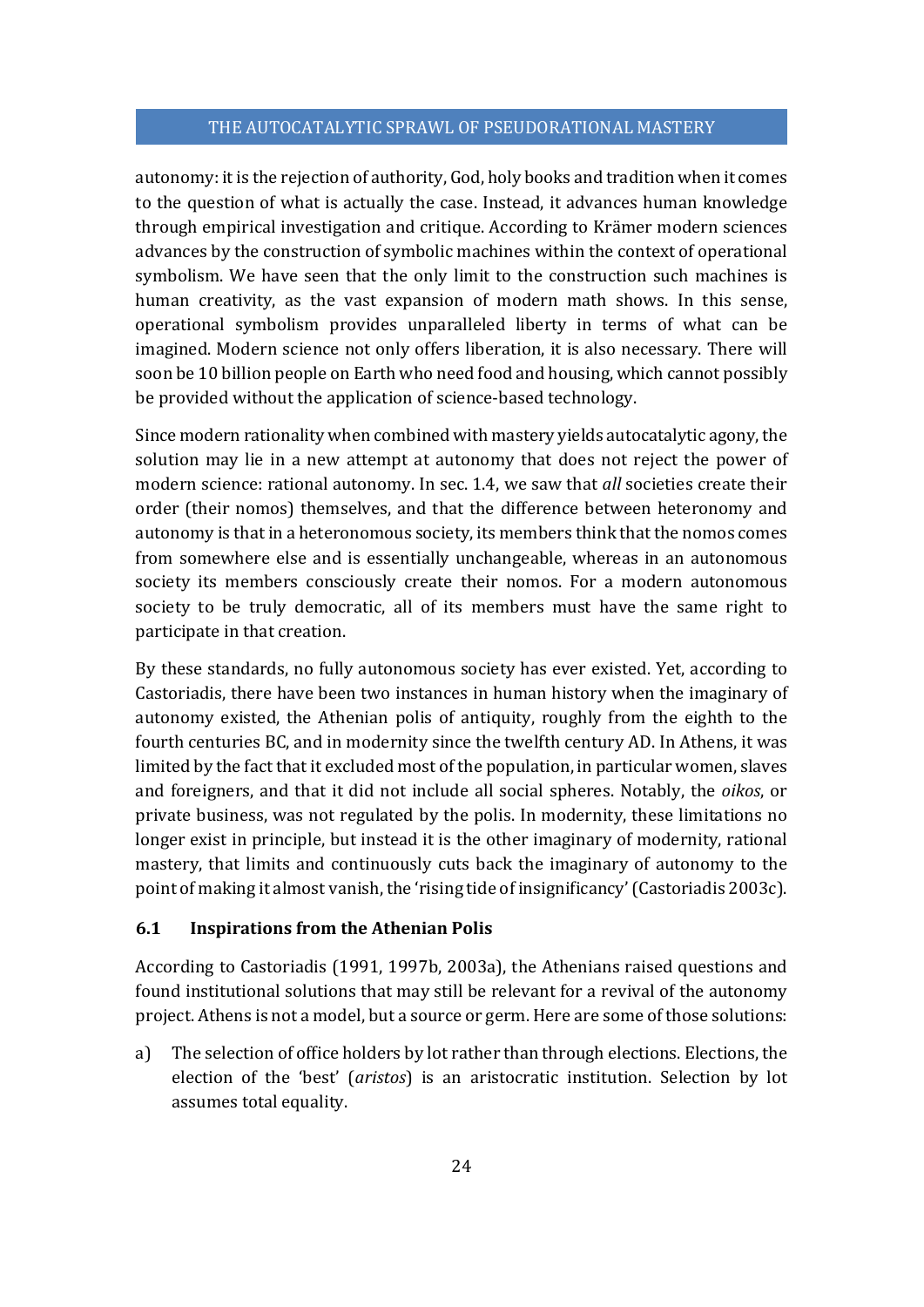autonomy: it is the rejection of authority, God, holy books and tradition when it comes to the question of what is actually the case. Instead, it advances human knowledge through empirical investigation and critique. According to Krämer modern sciences advances by the construction of symbolic machines within the context of operational symbolism. We have seen that the only limit to the construction such machines is human creativity, as the vast expansion of modern math shows. In this sense, operational symbolism provides unparalleled liberty in terms of what can be imagined. Modern science not only offers liberation, it is also necessary. There will soon be 10 billion people on Earth who need food and housing, which cannot possibly be provided without the application of science-based technology.

Since modern rationality when combined with mastery yields autocatalytic agony, the solution may lie in a new attempt at autonomy that does not reject the power of modern science: rational autonomy. In sec. 1.4, we saw that *all* societies create their order (their nomos) themselves, and that the difference between heteronomy and autonomy is that in a heteronomous society, its members think that the nomos comes from somewhere else and is essentially unchangeable, whereas in an autonomous society its members consciously create their nomos. For a modern autonomous society to be truly democratic, all of its members must have the same right to participate in that creation.

By these standards, no fully autonomous society has ever existed. Yet, according to Castoriadis, there have been two instances in human history when the imaginary of autonomy existed, the Athenian polis of antiquity, roughly from the eighth to the fourth centuries BC, and in modernity since the twelfth century AD. In Athens, it was limited by the fact that it excluded most of the population, in particular women, slaves and foreigners, and that it did not include all social spheres. Notably, the *oikos*, or private business, was not regulated by the polis. In modernity, these limitations no longer exist in principle, but instead it is the other imaginary of modernity, rational mastery, that limits and continuously cuts back the imaginary of autonomy to the point of making it almost vanish, the 'rising tide of insignificancy' (Castoriadis 2003c).

#### **6.1 Inspirations from the Athenian Polis**

According to Castoriadis (1991, 1997b, 2003a), the Athenians raised questions and found institutional solutions that may still be relevant for a revival of the autonomy project. Athens is not a model, but a source or germ. Here are some of those solutions:

a) The selection of office holders by lot rather than through elections. Elections, the election of the 'best' (*aristos*) is an aristocratic institution. Selection by lot assumes total equality.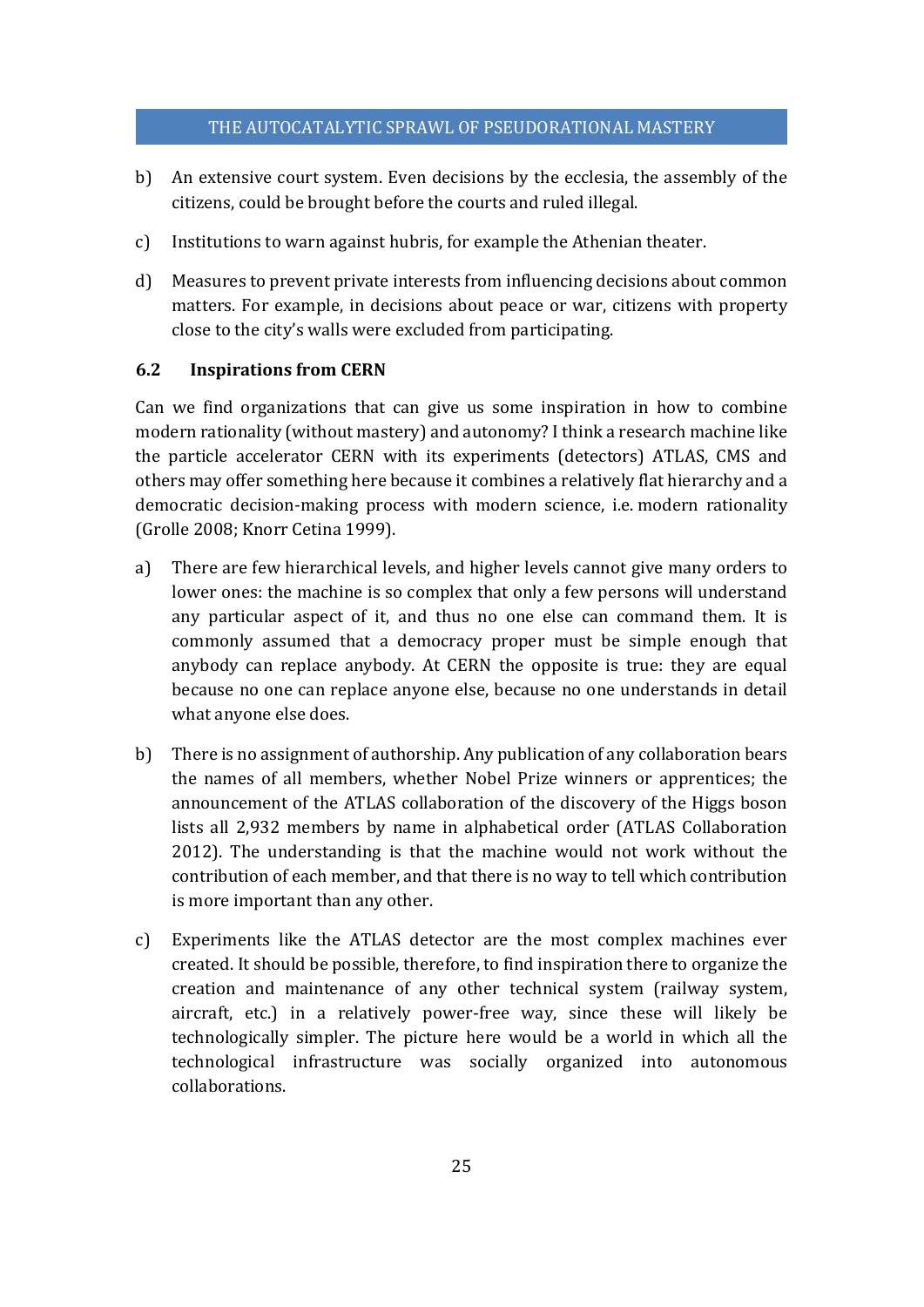- b) An extensive court system. Even decisions by the ecclesia, the assembly of the citizens, could be brought before the courts and ruled illegal.
- c) Institutions to warn against hubris, for example the Athenian theater.
- d) Measures to prevent private interests from influencing decisions about common matters. For example, in decisions about peace or war, citizens with property close to the city's walls were excluded from participating.

# **6.2 Inspirations from CERN**

Can we find organizations that can give us some inspiration in how to combine modern rationality (without mastery) and autonomy? I think a research machine like the particle accelerator CERN with its experiments (detectors) ATLAS, CMS and others may offer something here because it combines a relatively flat hierarchy and a democratic decision-making process with modern science, i.e. modern rationality (Grolle 2008; Knorr Cetina 1999).

- a) There are few hierarchical levels, and higher levels cannot give many orders to lower ones: the machine is so complex that only a few persons will understand any particular aspect of it, and thus no one else can command them. It is commonly assumed that a democracy proper must be simple enough that anybody can replace anybody. At CERN the opposite is true: they are equal because no one can replace anyone else, because no one understands in detail what anyone else does.
- b) There is no assignment of authorship. Any publication of any collaboration bears the names of all members, whether Nobel Prize winners or apprentices; the announcement of the ATLAS collaboration of the discovery of the Higgs boson lists all 2,932 members by name in alphabetical order (ATLAS Collaboration 2012). The understanding is that the machine would not work without the contribution of each member, and that there is no way to tell which contribution is more important than any other.
- c) Experiments like the ATLAS detector are the most complex machines ever created. It should be possible, therefore, to find inspiration there to organize the creation and maintenance of any other technical system (railway system, aircraft, etc.) in a relatively power-free way, since these will likely be technologically simpler. The picture here would be a world in which all the technological infrastructure was socially organized into autonomous collaborations.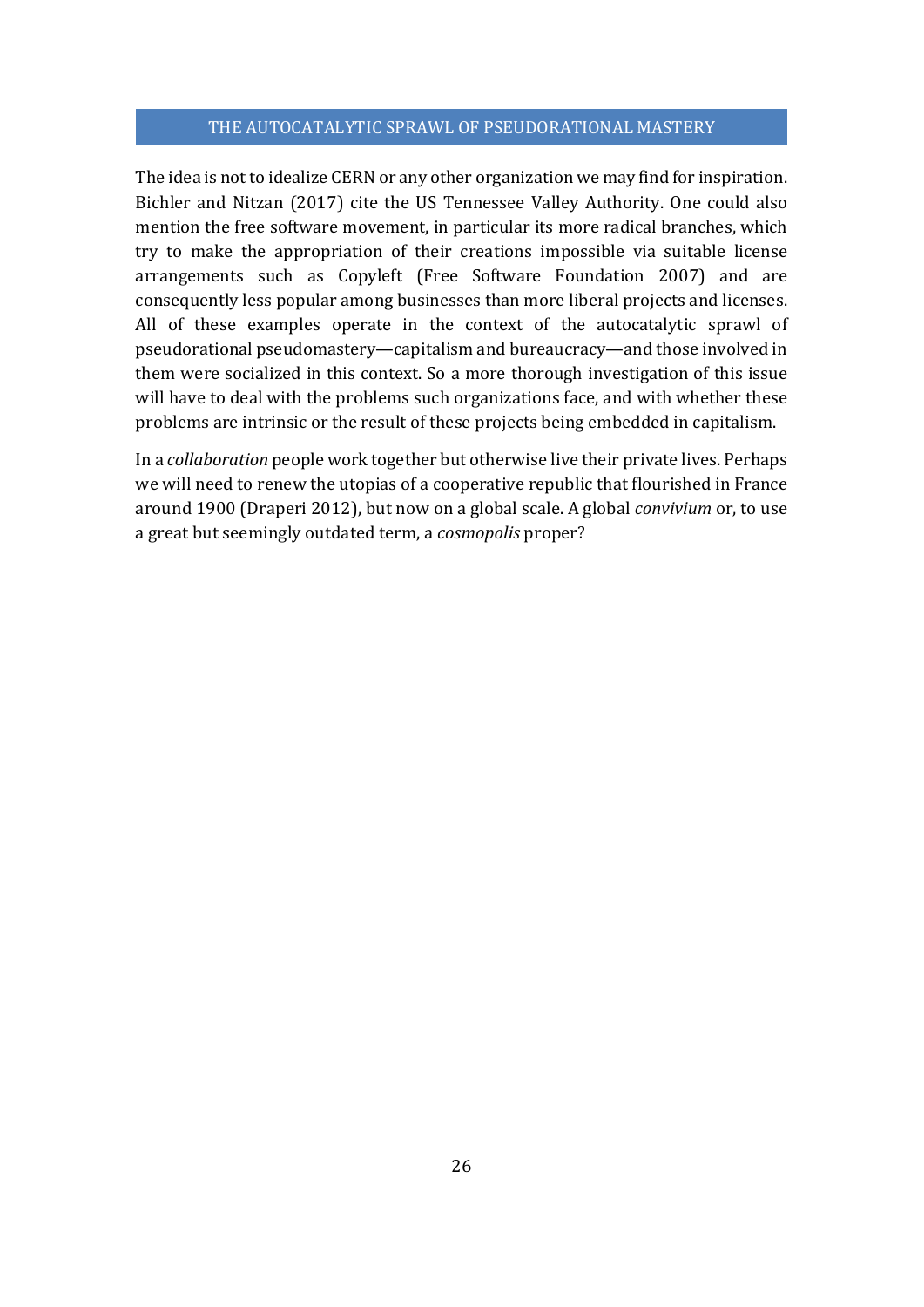The idea is not to idealize CERN or any other organization we may find for inspiration. Bichler and Nitzan (2017) cite the US Tennessee Valley Authority. One could also mention the free software movement, in particular its more radical branches, which try to make the appropriation of their creations impossible via suitable license arrangements such as Copyleft (Free Software Foundation 2007) and are consequently less popular among businesses than more liberal projects and licenses. All of these examples operate in the context of the autocatalytic sprawl of pseudorational pseudomastery—capitalism and bureaucracy—and those involved in them were socialized in this context. So a more thorough investigation of this issue will have to deal with the problems such organizations face, and with whether these problems are intrinsic or the result of these projects being embedded in capitalism.

In a *collaboration* people work together but otherwise live their private lives. Perhaps we will need to renew the utopias of a cooperative republic that flourished in France around 1900 (Draperi 2012), but now on a global scale. A global *convivium* or, to use a great but seemingly outdated term, a *cosmopolis* proper?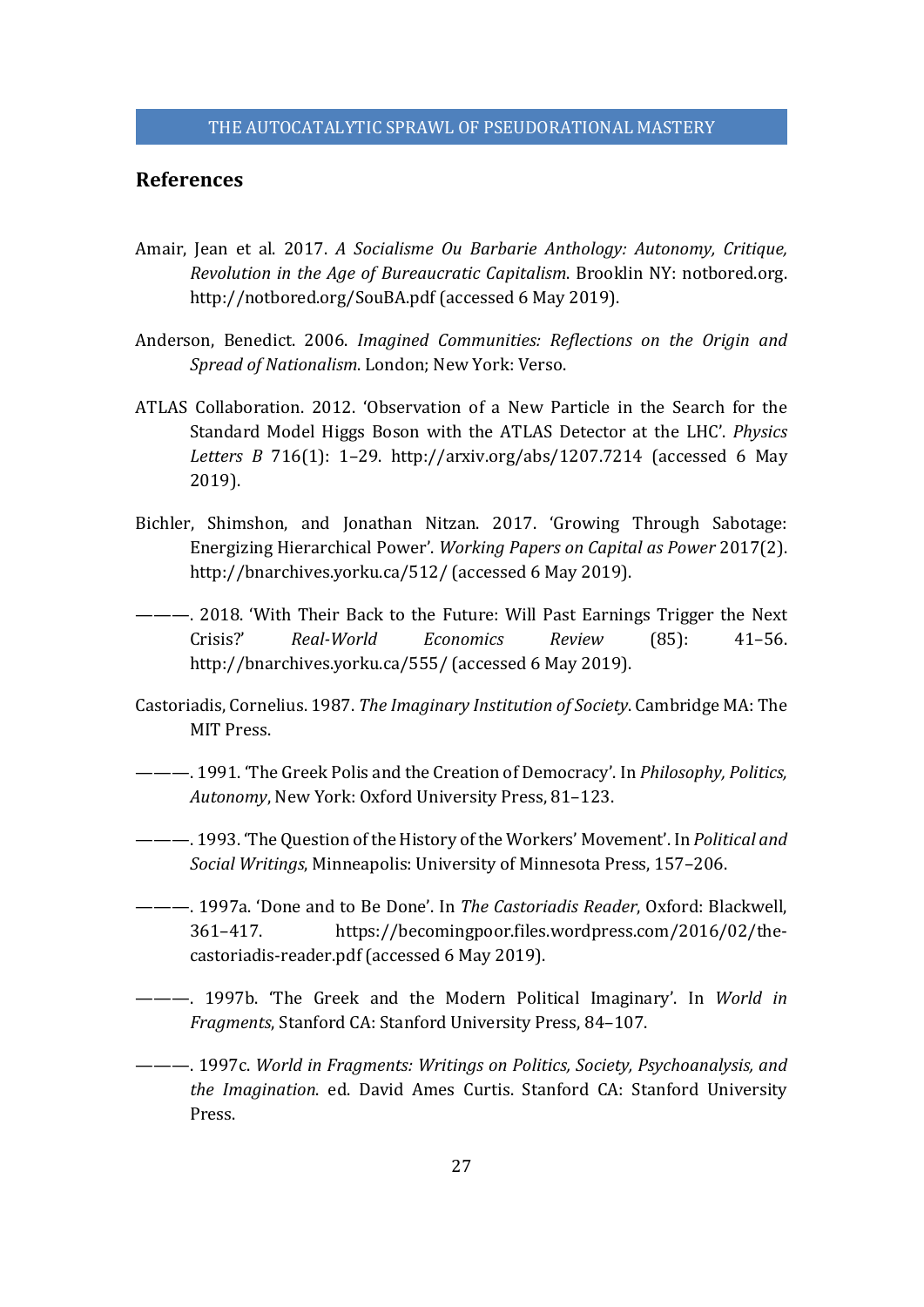# **References**

- Amair, Jean et al. 2017. *A Socialisme Ou Barbarie Anthology: Autonomy, Critique, Revolution in the Age of Bureaucratic Capitalism*. Brooklin NY: notbored.org. http://notbored.org/SouBA.pdf (accessed 6 May 2019).
- Anderson, Benedict. 2006. *Imagined Communities: Reflections on the Origin and Spread of Nationalism*. London; New York: Verso.
- ATLAS Collaboration. 2012. 'Observation of a New Particle in the Search for the Standard Model Higgs Boson with the ATLAS Detector at the LHC'. *Physics Letters B* 716(1): 1–29. http://arxiv.org/abs/1207.7214 (accessed 6 May 2019).
- Bichler, Shimshon, and Jonathan Nitzan. 2017. 'Growing Through Sabotage: Energizing Hierarchical Power'. *Working Papers on Capital as Power* 2017(2). http://bnarchives.yorku.ca/512/ (accessed 6 May 2019).
- ———. 2018. 'With Their Back to the Future: Will Past Earnings Trigger the Next Crisis?' *Real‐World Economics Review* (85): 41–56. http://bnarchives.yorku.ca/555/ (accessed 6 May 2019).
- Castoriadis, Cornelius. 1987. *The Imaginary Institution of Society*. Cambridge MA: The MIT Press.
- ———. 1991. 'The Greek Polis and the Creation of Democracy'. In *Philosophy, Politics, Autonomy*, New York: Oxford University Press, 81–123.
- ———. 1993. 'The Question of the History of the Workers' Movement'. In *Political and Social Writings*, Minneapolis: University of Minnesota Press, 157–206.
- ———. 1997a. 'Done and to Be Done'. In *The Castoriadis Reader*, Oxford: Blackwell, 361–417. https://becomingpoor.files.wordpress.com/2016/02/thecastoriadis-reader.pdf (accessed 6 May 2019).
- ———. 1997b. 'The Greek and the Modern Political Imaginary'. In *World in Fragments*, Stanford CA: Stanford University Press, 84–107.
- ———. 1997c. *World in Fragments: Writings on Politics, Society, Psychoanalysis, and the Imagination*. ed. David Ames Curtis. Stanford CA: Stanford University Press.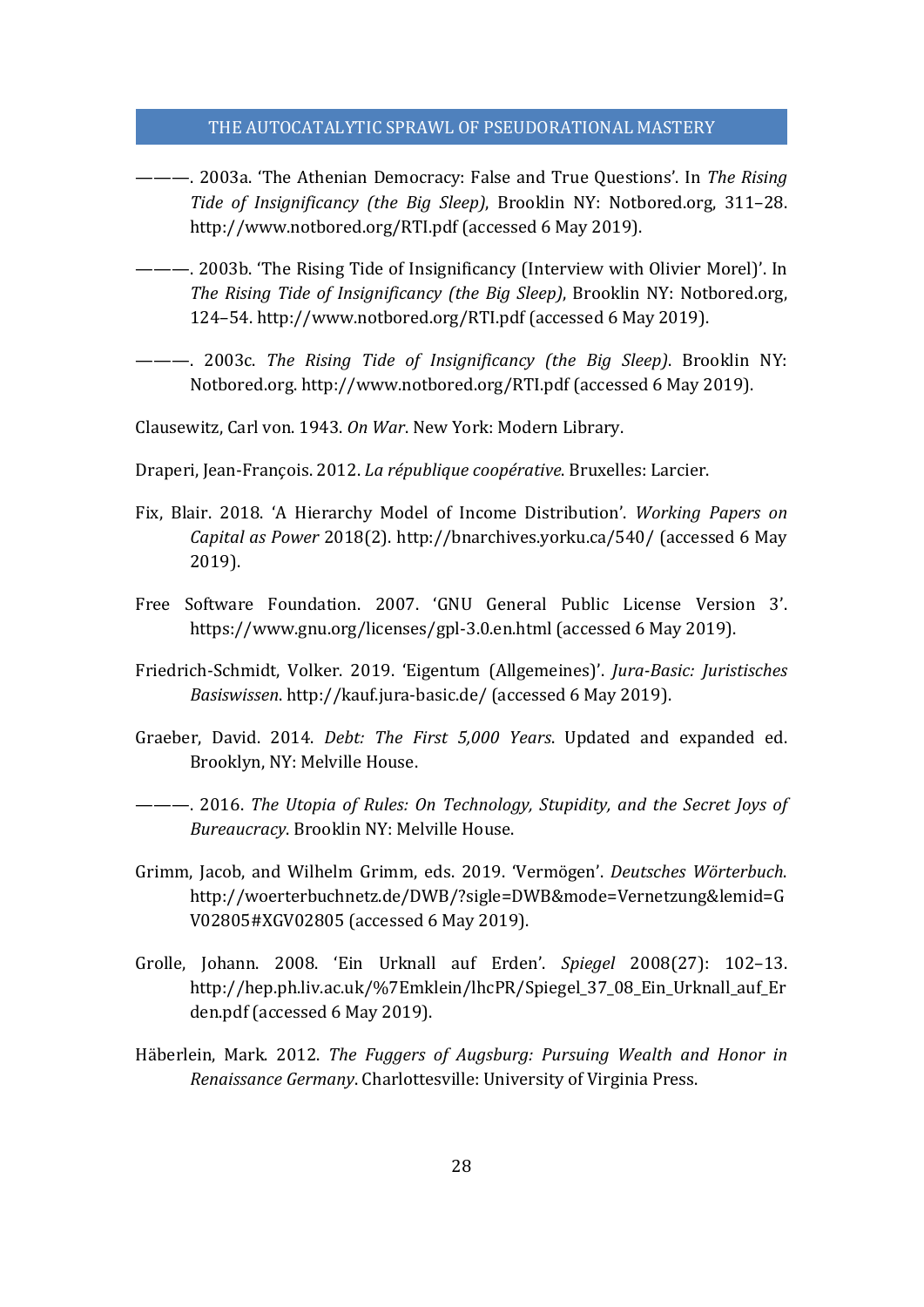- ———. 2003a. 'The Athenian Democracy: False and True Questions'. In *The Rising Tide of Insignificancy (the Big Sleep)*, Brooklin NY: Notbored.org, 311–28. http://www.notbored.org/RTI.pdf (accessed 6 May 2019).
- ———. 2003b. 'The Rising Tide of Insignificancy (Interview with Olivier Morel)'. In *The Rising Tide of Insignificancy (the Big Sleep)*, Brooklin NY: Notbored.org, 124–54. http://www.notbored.org/RTI.pdf (accessed 6 May 2019).
- ———. 2003c. *The Rising Tide of Insignificancy (the Big Sleep)*. Brooklin NY: Notbored.org. http://www.notbored.org/RTI.pdf (accessed 6 May 2019).

Clausewitz, Carl von. 1943. *On War*. New York: Modern Library.

Draperi, Jean-François. 2012. *La république coopérative*. Bruxelles: Larcier.

- Fix, Blair. 2018. 'A Hierarchy Model of Income Distribution'. *Working Papers on Capital as Power* 2018(2). http://bnarchives.yorku.ca/540/ (accessed 6 May 2019).
- Free Software Foundation. 2007. 'GNU General Public License Version 3'. https://www.gnu.org/licenses/gpl-3.0.en.html (accessed 6 May 2019).
- Friedrich-Schmidt, Volker. 2019. 'Eigentum (Allgemeines)'. *Jura‐Basic: Juristisches Basiswissen*. http://kauf.jura-basic.de/ (accessed 6 May 2019).
- Graeber, David. 2014. *Debt: The First 5,000 Years*. Updated and expanded ed. Brooklyn, NY: Melville House.

———. 2016. *The Utopia of Rules: On Technology, Stupidity, and the Secret Joys of Bureaucracy*. Brooklin NY: Melville House.

- Grimm, Jacob, and Wilhelm Grimm, eds. 2019. 'Vermögen'. *Deutsches Wörterbuch*. http://woerterbuchnetz.de/DWB/?sigle=DWB&mode=Vernetzung&lemid=G V02805#XGV02805 (accessed 6 May 2019).
- Grolle, Johann. 2008. 'Ein Urknall auf Erden'. *Spiegel* 2008(27): 102–13. http://hep.ph.liv.ac.uk/%7Emklein/lhcPR/Spiegel\_37\_08\_Ein\_Urknall\_auf\_Er den.pdf (accessed 6 May 2019).
- Häberlein, Mark. 2012. *The Fuggers of Augsburg: Pursuing Wealth and Honor in Renaissance Germany*. Charlottesville: University of Virginia Press.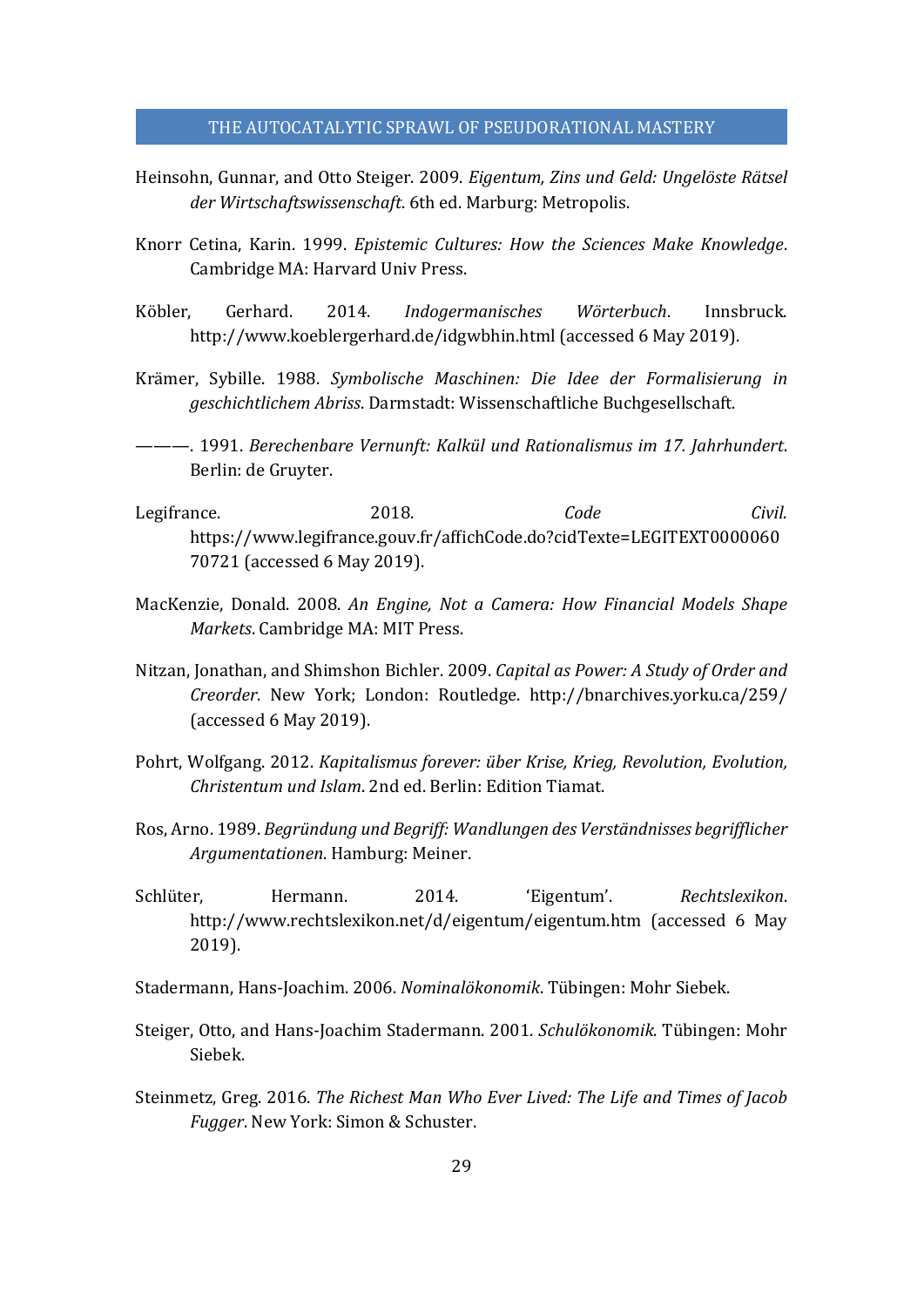- Heinsohn, Gunnar, and Otto Steiger. 2009. *Eigentum, Zins und Geld: Ungelöste Rätsel der Wirtschaftswissenschaft*. 6th ed. Marburg: Metropolis.
- Knorr Cetina, Karin. 1999. *Epistemic Cultures: How the Sciences Make Knowledge*. Cambridge MA: Harvard Univ Press.
- Köbler, Gerhard. 2014. *Indogermanisches Wörterbuch*. Innsbruck. http://www.koeblergerhard.de/idgwbhin.html (accessed 6 May 2019).
- Krämer, Sybille. 1988. *Symbolische Maschinen: Die Idee der Formalisierung in geschichtlichem Abriss*. Darmstadt: Wissenschaftliche Buchgesellschaft.
- ———. 1991. *Berechenbare Vernunft: Kalkül und Rationalismus im 17. Jahrhundert*. Berlin: de Gruyter.
- Legifrance. 2018. *Code Civil*. https://www.legifrance.gouv.fr/affichCode.do?cidTexte=LEGITEXT0000060 70721 (accessed 6 May 2019).
- MacKenzie, Donald. 2008. *An Engine, Not a Camera: How Financial Models Shape Markets*. Cambridge MA: MIT Press.
- Nitzan, Jonathan, and Shimshon Bichler. 2009. *Capital as Power: A Study of Order and Creorder*. New York; London: Routledge. http://bnarchives.yorku.ca/259/ (accessed 6 May 2019).
- Pohrt, Wolfgang. 2012. *Kapitalismus forever: über Krise, Krieg, Revolution, Evolution, Christentum und Islam*. 2nd ed. Berlin: Edition Tiamat.
- Ros, Arno. 1989. *Begründung und Begriff: Wandlungen des Verständnisses begrifflicher Argumentationen*. Hamburg: Meiner.
- Schlüter, Hermann. 2014. 'Eigentum'. *Rechtslexikon*. http://www.rechtslexikon.net/d/eigentum/eigentum.htm (accessed 6 May 2019).
- Stadermann, Hans-Joachim. 2006. *Nominalökonomik*. Tübingen: Mohr Siebek.
- Steiger, Otto, and Hans-Joachim Stadermann. 2001. *Schulökonomik*. Tübingen: Mohr Siebek.
- Steinmetz, Greg. 2016. *The Richest Man Who Ever Lived: The Life and Times of Jacob Fugger*. New York: Simon & Schuster.